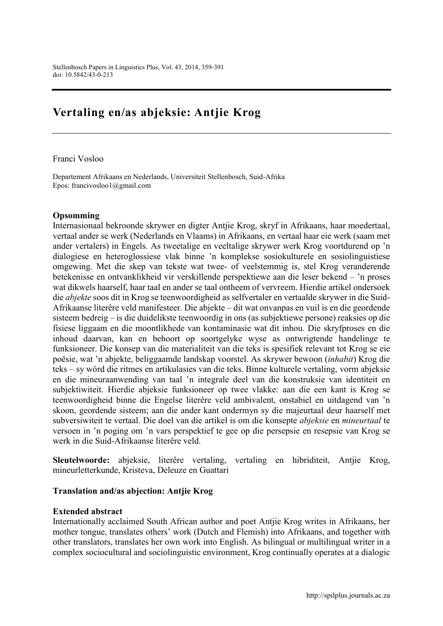# Vertaling en/as abjeksie: Antjie Krog

Franci Vosloo

Departement Afrikaans en Nederlands, Universiteit Stellenbosch, Suid-Afrika Epos: [francivosloo1@gmail.com](mailto:francivosloo1@gmail.com)

#### Opsomming

Internasionaal bekroonde skrywer en digter Antjie Krog, skryf in Afrikaans, haar moedertaal, vertaal ander se werk (Nederlands en Vlaams) in Afrikaans, en vertaal haar eie werk (saam met ander vertalers) in Engels. As tweetalige en veeltalige skrywer werk Krog voortdurend op 'n dialogiese en heteroglossiese vlak binne 'n komplekse sosiokulturele en sosiolinguistiese omgewing. Met die skep van tekste wat twee- of veelstemmig is, stel Krog veranderende betekenisse en ontvanklikheid vir verskillende perspektiewe aan die leser bekend – 'n proses wat dikwels haarself, haar taal en ander se taal ontheem of vervreem. Hierdie artikel ondersoek die *abjekte* soos dit in Krog se teenwoordigheid as selfvertaler en vertaalde skrywer in die Suid-Afrikaanse literêre veld manifesteer. Die abjekte – dit wat onvanpas en vuil is en die geordende sisteem bedreig – is die duidelikste teenwoordig in ons (as subjektiewe persone) reaksies op die fisiese liggaam en die moontlikhede van kontaminasie wat dit inhou. Die skryfproses en die inhoud daarvan, kan en behoort op soortgelyke wyse as ontwrigtende handelinge te funksioneer. Die konsep van die materialiteit van die teks is spesifiek relevant tot Krog se eie poësie, wat 'n abjekte, beliggaamde landskap voorstel. As skrywer bewoon (*inhabit*) Krog die teks – sy wórd die ritmes en artikulasies van die teks. Binne kulturele vertaling, vorm abjeksie en die mineuraanwending van taal 'n integrale deel van die konstruksie van identiteit en subjektiwiteit. Hierdie abjeksie funksioneer op twee vlakke: aan die een kant is Krog se teenwoordigheid binne die Engelse literêre veld ambivalent, onstabiel en uitdagend van 'n skoon, geordende sisteem; aan die ander kant ondermyn sy die majeurtaal deur haarself met subversiwiteit te vertaal. Die doel van die artikel is om die konsepte *abjeksie* en *mineurtaal* te versoen in 'n poging om 'n vars perspektief te gee op die persepsie en resepsie van Krog se werk in die Suid-Afrikaanse literêre veld.

Sleutelwoorde: abjeksie, literêre vertaling, vertaling en hibriditeit, Antjie Krog, mineurletterkunde, Kristeva, Deleuze en Guattari

#### Translation and/as abjection: Antjie Krog

#### Extended abstract

Internationally acclaimed South African author and poet Antjie Krog writes in Afrikaans, her mother tongue, translates others' work (Dutch and Flemish) into Afrikaans, and together with other translators, translates her own work into English. As bilingual or multilingual writer in a complex sociocultural and sociolinguistic environment, Krog continually operates at a dialogic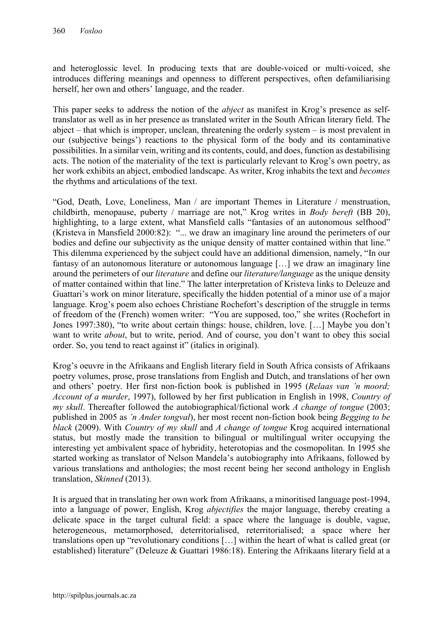and heteroglossic level. In producing texts that are double-voiced or multi-voiced, she introduces differing meanings and openness to different perspectives, often defamiliarising herself, her own and others' language, and the reader.

This paper seeks to address the notion of the *abject* as manifest in Krog's presence as selftranslator as well as in her presence as translated writer in the South African literary field. The abject – that which is improper, unclean, threatening the orderly system – is most prevalent in our (subjective beings') reactions to the physical form of the body and its contaminative possibilities. In a similar vein, writing and its contents, could, and does, function as destabilising acts. The notion of the materiality of the text is particularly relevant to Krog's own poetry, as her work exhibits an abject, embodied landscape. As writer, Krog inhabits the text and *becomes* the rhythms and articulations of the text.

"God, Death, Love, Loneliness, Man / are important Themes in Literature / menstruation, childbirth, menopause, puberty / marriage are not," Krog writes in *Body bereft* (BB 20), highlighting, to a large extent, what Mansfield calls "fantasies of an autonomous selfhood" (Kristeva in Mansfield 2000:82): "... we draw an imaginary line around the perimeters of our bodies and define our subjectivity as the unique density of matter contained within that line." This dilemma experienced by the subject could have an additional dimension, namely, "In our fantasy of an autonomous literature or autonomous language […] we draw an imaginary line around the perimeters of our *literature* and define our *literature/language* as the unique density of matter contained within that line." The latter interpretation of Kristeva links to Deleuze and Guattari's work on minor literature, specifically the hidden potential of a minor use of a major language. Krog's poem also echoes Christiane Rochefort's description of the struggle in terms of freedom of the (French) women writer: "You are supposed, too," she writes (Rochefort in Jones 1997:380), "to write about certain things: house, children, love. […] Maybe you don't want to write *about*, but to write, period. And of course, you don't want to obey this social order. So, you tend to react against it" (italics in original).

Krog's oeuvre in the Afrikaans and English literary field in South Africa consists of Afrikaans poetry volumes, prose, prose translations from English and Dutch, and translations of her own and others' poetry. Her first non-fiction book is published in 1995 (*Relaas van 'n moord; Account of a murder*, 1997), followed by her first publication in English in 1998, *Country of my skull*. Thereafter followed the autobiographical/fictional work *A change of tongue* (2003; published in 2005 as *'n Ander tongval*), her most recent non-fiction book being *Begging to be black* (2009). With *Country of my skull* and *A change of tongue* Krog acquired international status, but mostly made the transition to bilingual or multilingual writer occupying the interesting yet ambivalent space of hybridity, heterotopias and the cosmopolitan. In 1995 she started working as translator of Nelson Mandela's autobiography into Afrikaans, followed by various translations and anthologies; the most recent being her second anthology in English translation, *Skinned* (2013).

It is argued that in translating her own work from Afrikaans, a minoritised language post-1994, into a language of power, English, Krog *abjectifies* the major language, thereby creating a delicate space in the target cultural field: a space where the language is double, vague, heterogeneous, metamorphosed, deterritorialised, reterritorialised; a space where her translations open up "revolutionary conditions […] within the heart of what is called great (or established) literature" (Deleuze & Guattari 1986:18). Entering the Afrikaans literary field at a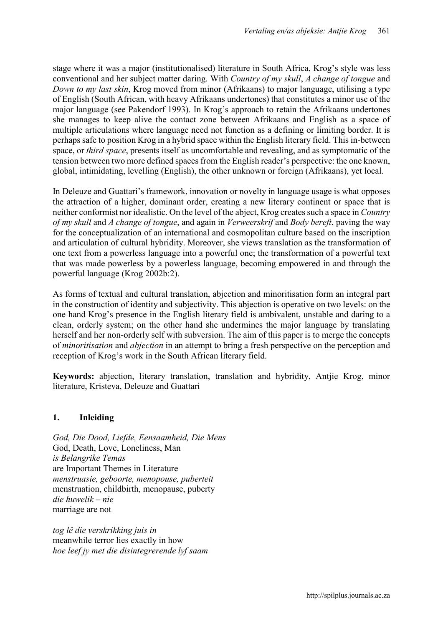stage where it was a major (institutionalised) literature in South Africa, Krog's style was less conventional and her subject matter daring. With *Country of my skull*, *A change of tongue* and *Down to my last skin*, Krog moved from minor (Afrikaans) to major language, utilising a type of English (South African, with heavy Afrikaans undertones) that constitutes a minor use of the major language (see Pakendorf 1993). In Krog's approach to retain the Afrikaans undertones she manages to keep alive the contact zone between Afrikaans and English as a space of multiple articulations where language need not function as a defining or limiting border. It is perhaps safe to position Krog in a hybrid space within the English literary field. This in-between space, or *third space*, presents itself as uncomfortable and revealing, and as symptomatic of the tension between two more defined spaces from the English reader's perspective: the one known, global, intimidating, levelling (English), the other unknown or foreign (Afrikaans), yet local.

In Deleuze and Guattari's framework, innovation or novelty in language usage is what opposes the attraction of a higher, dominant order, creating a new literary continent or space that is neither conformist nor idealistic. On the level of the abject, Krog creates such a space in *Country of my skull* and *A change of tongue*, and again in *Verweerskrif* and *Body bereft*, paving the way for the conceptualization of an international and cosmopolitan culture based on the inscription and articulation of cultural hybridity. Moreover, she views translation as the transformation of one text from a powerless language into a powerful one; the transformation of a powerful text that was made powerless by a powerless language, becoming empowered in and through the powerful language (Krog 2002b:2).

As forms of textual and cultural translation, abjection and minoritisation form an integral part in the construction of identity and subjectivity. This abjection is operative on two levels: on the one hand Krog's presence in the English literary field is ambivalent, unstable and daring to a clean, orderly system; on the other hand she undermines the major language by translating herself and her non-orderly self with subversion. The aim of this paper is to merge the concepts of *minoritisation* and *abjection* in an attempt to bring a fresh perspective on the perception and reception of Krog's work in the South African literary field.

Keywords: abjection, literary translation, translation and hybridity, Antjie Krog, minor literature, Kristeva, Deleuze and Guattari

# 1. Inleiding

*God, Die Dood, Liefde, Eensaamheid, Die Mens* God, Death, Love, Loneliness, Man *is Belangrike Temas* are Important Themes in Literature *menstruasie, geboorte, menopouse, puberteit* menstruation, childbirth, menopause, puberty *die huwelik – nie* marriage are not

*tog lê die verskrikking juis in*  meanwhile terror lies exactly in how *hoe leef jy met die disintegrerende lyf saam*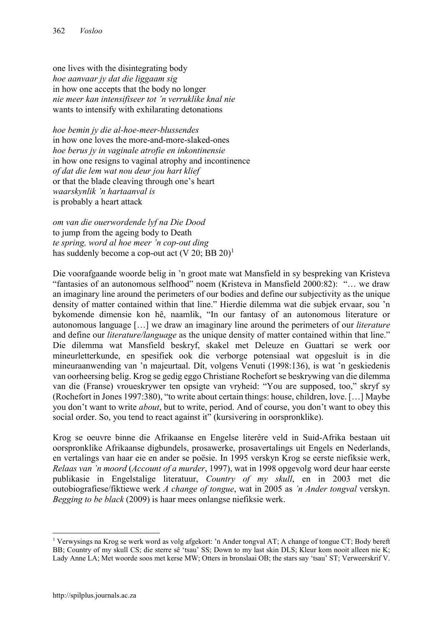one lives with the disintegrating body *hoe aanvaar jy dat die liggaam sig*  in how one accepts that the body no longer *nie meer kan intensifiseer tot 'n verruklike knal nie* wants to intensify with exhilarating detonations

*hoe bemin jy die al-hoe-meer-blussendes* in how one loves the more-and-more-slaked-ones *hoe berus jy in vaginale atrofie en inkontinensie* in how one resigns to vaginal atrophy and incontinence *of dat die lem wat nou deur jou hart klief* or that the blade cleaving through one's heart *waarskynlik 'n hartaanval is* is probably a heart attack

*om van die ouerwordende lyf na Die Dood* to jump from the ageing body to Death *te spring, word al hoe meer 'n cop-out ding* has suddenly become a cop-out act  $(V 20; BB 20)^1$ 

Die voorafgaande woorde belig in 'n groot mate wat Mansfield in sy bespreking van Kristeva "fantasies of an autonomous selfhood" noem (Kristeva in Mansfield 2000:82): "… we draw an imaginary line around the perimeters of our bodies and define our subjectivity as the unique density of matter contained within that line." Hierdie dilemma wat die subjek ervaar, sou 'n bykomende dimensie kon hê, naamlik, "In our fantasy of an autonomous literature or autonomous language […] we draw an imaginary line around the perimeters of our *literature* and define our *literature/language* as the unique density of matter contained within that line." Die dilemma wat Mansfield beskryf, skakel met Deleuze en Guattari se werk oor mineurletterkunde, en spesifiek ook die verborge potensiaal wat opgesluit is in die mineuraanwending van 'n majeurtaal. Dít, volgens Venuti (1998:136), is wat 'n geskiedenis van oorheersing belig. Krog se gedig eggo Christiane Rochefort se beskrywing van die dilemma van die (Franse) vroueskrywer ten opsigte van vryheid: "You are supposed, too," skryf sy (Rochefort in Jones 1997:380), "to write about certain things: house, children, love. […] Maybe you don't want to write *about*, but to write, period. And of course, you don't want to obey this social order. So, you tend to react against it" (kursivering in oorspronklike).

Krog se oeuvre binne die Afrikaanse en Engelse literêre veld in Suid-Afrika bestaan uit oorspronklike Afrikaanse digbundels, prosawerke, prosavertalings uit Engels en Nederlands, en vertalings van haar eie en ander se poësie. In 1995 verskyn Krog se eerste niefiksie werk, *Relaas van 'n moord* (*Account of a murder*, 1997), wat in 1998 opgevolg word deur haar eerste publikasie in Engelstalige literatuur, *Country of my skull*, en in 2003 met die outobiografiese/fiktiewe werk *A change of tongue*, wat in 2005 as *'n Ander tongval* verskyn. *Begging to be black* (2009) is haar mees onlangse niefiksie werk.

1

<sup>1</sup> Verwysings na Krog se werk word as volg afgekort: 'n Ander tongval AT; A change of tongue CT; Body bereft BB; Country of my skull CS; die sterre sê 'tsau' SS; Down to my last skin DLS; Kleur kom nooit alleen nie K; Lady Anne LA; Met woorde soos met kerse MW; Otters in bronslaai OB; the stars say 'tsau' ST; Verweerskrif V.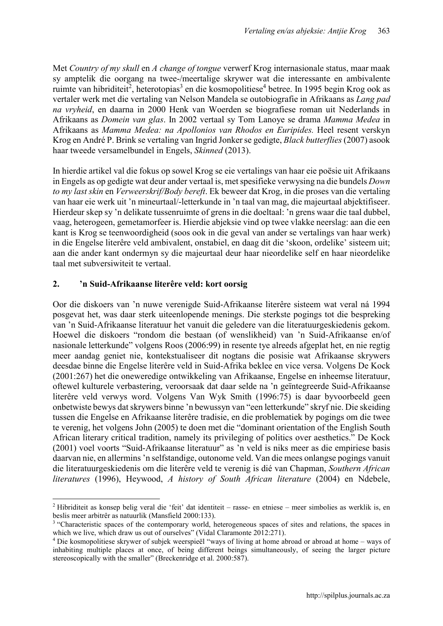Met *Country of my skull* en *A change of tongue* verwerf Krog internasionale status, maar maak sy amptelik die oorgang na twee-/meertalige skrywer wat die interessante en ambivalente ruimte van hibriditeit<sup>2</sup>, heterotopias<sup>3</sup> en die kosmopolitiese<sup>4</sup> betree. In 1995 begin Krog ook as vertaler werk met die vertaling van Nelson Mandela se outobiografie in Afrikaans as *Lang pad na vryheid*, en daarna in 2000 Henk van Woerden se biografiese roman uit Nederlands in Afrikaans as *Domein van glas*. In 2002 vertaal sy Tom Lanoye se drama *Mamma Medea* in Afrikaans as *Mamma Medea: na Apollonios van Rhodos en Euripides.* Heel resent verskyn Krog en André P. Brink se vertaling van Ingrid Jonker se gedigte, *Black butterflies* (2007) asook haar tweede versamelbundel in Engels, *Skinned* (2013).

In hierdie artikel val die fokus op sowel Krog se eie vertalings van haar eie poësie uit Afrikaans in Engels as op gedigte wat deur ander vertaal is, met spesifieke verwysing na die bundels *Down to my last skin* en *Verweerskrif/Body bereft*. Ek beweer dat Krog, in die proses van die vertaling van haar eie werk uit 'n mineurtaal/-letterkunde in 'n taal van mag, die majeurtaal abjektifiseer. Hierdeur skep sy 'n delikate tussenruimte of grens in die doeltaal: 'n grens waar die taal dubbel, vaag, heterogeen, gemetamorfeer is. Hierdie abjeksie vind op twee vlakke neerslag: aan die een kant is Krog se teenwoordigheid (soos ook in die geval van ander se vertalings van haar werk) in die Engelse literêre veld ambivalent, onstabiel, en daag dit die 'skoon, ordelike' sisteem uit; aan die ander kant ondermyn sy die majeurtaal deur haar nieordelike self en haar nieordelike taal met subversiwiteit te vertaal.

## 2. 'n Suid-Afrikaanse literêre veld: kort oorsig

Oor die diskoers van 'n nuwe verenigde Suid-Afrikaanse literêre sisteem wat veral ná 1994 posgevat het, was daar sterk uiteenlopende menings. Die sterkste pogings tot die bespreking van 'n Suid-Afrikaanse literatuur het vanuit die geledere van die literatuurgeskiedenis gekom. Hoewel die diskoers "rondom die bestaan (of wenslikheid) van 'n Suid-Afrikaanse en/of nasionale letterkunde" volgens Roos (2006:99) in resente tye alreeds afgeplat het, en nie regtig meer aandag geniet nie, kontekstualiseer dit nogtans die posisie wat Afrikaanse skrywers deesdae binne die Engelse literêre veld in Suid-Afrika beklee en vice versa. Volgens De Kock (2001:267) het die oneweredige ontwikkeling van Afrikaanse, Engelse en inheemse literatuur, oftewel kulturele verbastering, veroorsaak dat daar selde na 'n geïntegreerde Suid-Afrikaanse literêre veld verwys word. Volgens Van Wyk Smith (1996:75) is daar byvoorbeeld geen onbetwiste bewys dat skrywers binne 'n bewussyn van "een letterkunde" skryf nie. Die skeiding tussen die Engelse en Afrikaanse literêre tradisie, en die problematiek by pogings om die twee te verenig, het volgens John (2005) te doen met die "dominant orientation of the English South African literary critical tradition, namely its privileging of politics over aesthetics." De Kock (2001) voel voorts "Suid-Afrikaanse literatuur" as 'n veld is niks meer as die empiriese basis daarvan nie, en allermins 'n selfstandige, outonome veld. Van die mees onlangse pogings vanuit die literatuurgeskiedenis om die literêre veld te verenig is dié van Chapman, *Southern African literatures* (1996), Heywood, *A history of South African literature* (2004) en Ndebele,

 $\overline{a}$ <sup>2</sup> Hibriditeit as konsep belig veral die 'feit' dat identiteit – rasse- en etniese – meer simbolies as werklik is, en beslis meer arbitrêr as natuurlik (Mansfield 2000:133).

<sup>&</sup>lt;sup>3</sup> "Characteristic spaces of the contemporary world, heterogeneous spaces of sites and relations, the spaces in which we live, which draw us out of ourselves" (Vidal Claramonte 2012:271).

<sup>4</sup> Die kosmopolitiese skrywer of subjek weerspieël "ways of living at home abroad or abroad at home – ways of inhabiting multiple places at once, of being different beings simultaneously, of seeing the larger picture stereoscopically with the smaller" (Breckenridge et al. 2000:587).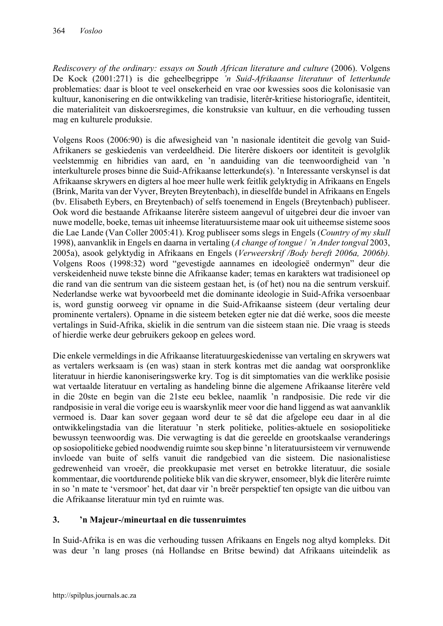*Rediscovery of the ordinary: essays on South African literature and culture (2006). Volgens* De Kock (2001:271) is die geheelbegrippe *'n Suid-Afrikaanse literatuur* of *letterkunde* problematies: daar is bloot te veel onsekerheid en vrae oor kwessies soos die kolonisasie van kultuur, kanonisering en die ontwikkeling van tradisie, literêr-kritiese historiografie, identiteit, die materialiteit van diskoersregimes, die konstruksie van kultuur, en die verhouding tussen mag en kulturele produksie.

Volgens Roos (2006:90) is die afwesigheid van 'n nasionale identiteit die gevolg van Suid-Afrikaners se geskiedenis van verdeeldheid. Die literêre diskoers oor identiteit is gevolglik veelstemmig en hibridies van aard, en 'n aanduiding van die teenwoordigheid van 'n interkulturele proses binne die Suid-Afrikaanse letterkunde(s). 'n Interessante verskynsel is dat Afrikaanse skrywers en digters al hoe meer hulle werk feitlik gelyktydig in Afrikaans en Engels (Brink, Marita van der Vyver, Breyten Breytenbach), in dieselfde bundel in Afrikaans en Engels (bv. Elisabeth Eybers, en Breytenbach) of selfs toenemend in Engels (Breytenbach) publiseer. Ook word die bestaande Afrikaanse literêre sisteem aangevul of uitgebrei deur die invoer van nuwe modelle, boeke, temas uit inheemse literatuursisteme maar ook uit uitheemse sisteme soos die Lae Lande (Van Coller 2005:41). Krog publiseer soms slegs in Engels (*Country of my skull*  1998), aanvanklik in Engels en daarna in vertaling (*A change of tongue* / *'n Ander tongval* 2003, 2005a), asook gelyktydig in Afrikaans en Engels (*Verweerskrif /Body bereft 2006a, 2006b).*  Volgens Roos (1998:32) word "gevestigde aannames en ideologieë ondermyn" deur die verskeidenheid nuwe tekste binne die Afrikaanse kader; temas en karakters wat tradisioneel op die rand van die sentrum van die sisteem gestaan het, is (of het) nou na die sentrum verskuif. Nederlandse werke wat byvoorbeeld met die dominante ideologie in Suid-Afrika versoenbaar is, word gunstig oorweeg vir opname in die Suid-Afrikaanse sisteem (deur vertaling deur prominente vertalers). Opname in die sisteem beteken egter nie dat dié werke, soos die meeste vertalings in Suid-Afrika, skielik in die sentrum van die sisteem staan nie. Die vraag is steeds of hierdie werke deur gebruikers gekoop en gelees word.

Die enkele vermeldings in die Afrikaanse literatuurgeskiedenisse van vertaling en skrywers wat as vertalers werksaam is (en was) staan in sterk kontras met die aandag wat oorspronklike literatuur in hierdie kanoniseringswerke kry. Tog is dit simptomaties van die werklike posisie wat vertaalde literatuur en vertaling as handeling binne die algemene Afrikaanse literêre veld in die 20ste en begin van die 21ste eeu beklee, naamlik 'n randposisie. Die rede vir die randposisie in veral die vorige eeu is waarskynlik meer voor die hand liggend as wat aanvanklik vermoed is. Daar kan sover gegaan word deur te sê dat die afgelope eeu daar in al die ontwikkelingstadia van die literatuur 'n sterk politieke, polities-aktuele en sosiopolitieke bewussyn teenwoordig was. Die verwagting is dat die gereelde en grootskaalse veranderings op sosiopolitieke gebied noodwendig ruimte sou skep binne 'n literatuursisteem vir vernuwende invloede van buite of selfs vanuit die randgebied van die sisteem. Die nasionalistiese gedrewenheid van vroeër, die preokkupasie met verset en betrokke literatuur, die sosiale kommentaar, die voortdurende politieke blik van die skrywer, ensomeer, blyk die literêre ruimte in so 'n mate te 'versmoor' het, dat daar vir 'n breër perspektief ten opsigte van die uitbou van die Afrikaanse literatuur min tyd en ruimte was.

# 3. 'n Majeur-/mineurtaal en die tussenruimtes

In Suid-Afrika is en was die verhouding tussen Afrikaans en Engels nog altyd kompleks. Dit was deur 'n lang proses (ná Hollandse en Britse bewind) dat Afrikaans uiteindelik as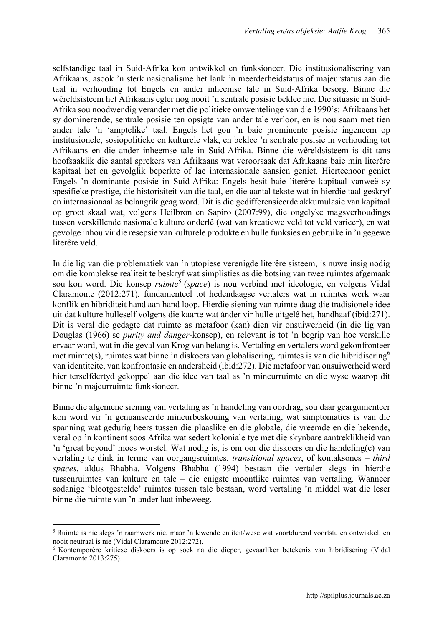selfstandige taal in Suid-Afrika kon ontwikkel en funksioneer. Die institusionalisering van Afrikaans, asook 'n sterk nasionalisme het lank 'n meerderheidstatus of majeurstatus aan die taal in verhouding tot Engels en ander inheemse tale in Suid-Afrika besorg. Binne die wêreldsisteem het Afrikaans egter nog nooit 'n sentrale posisie beklee nie. Die situasie in Suid-Afrika sou noodwendig verander met die politieke omwentelinge van die 1990's: Afrikaans het sy dominerende, sentrale posisie ten opsigte van ander tale verloor, en is nou saam met tien ander tale 'n 'amptelike' taal. Engels het gou 'n baie prominente posisie ingeneem op institusionele, sosiopolitieke en kulturele vlak, en beklee 'n sentrale posisie in verhouding tot Afrikaans en die ander inheemse tale in Suid-Afrika. Binne die wêreldsisteem is dit tans hoofsaaklik die aantal sprekers van Afrikaans wat veroorsaak dat Afrikaans baie min literêre kapitaal het en gevolglik beperkte of lae internasionale aansien geniet. Hierteenoor geniet Engels 'n dominante posisie in Suid-Afrika: Engels besit baie literêre kapitaal vanweë sy spesifieke prestige, die historisiteit van die taal, en die aantal tekste wat in hierdie taal geskryf en internasionaal as belangrik geag word. Dit is die gedifferensieerde akkumulasie van kapitaal op groot skaal wat, volgens Heilbron en Sapiro (2007:99), die ongelyke magsverhoudings tussen verskillende nasionale kulture onderlê (wat van kreatiewe veld tot veld varieer), en wat gevolge inhou vir die resepsie van kulturele produkte en hulle funksies en gebruike in 'n gegewe literêre veld.

In die lig van die problematiek van 'n utopiese verenigde literêre sisteem, is nuwe insig nodig om die komplekse realiteit te beskryf wat simplisties as die botsing van twee ruimtes afgemaak sou kon word. Die konsep *ruimte*<sup>5</sup> (*space*) is nou verbind met ideologie, en volgens Vidal Claramonte (2012:271), fundamenteel tot hedendaagse vertalers wat in ruimtes werk waar konflik en hibriditeit hand aan hand loop. Hierdie siening van ruimte daag die tradisionele idee uit dat kulture hulleself volgens die kaarte wat ánder vir hulle uitgelê het, handhaaf (ibid:271). Dit is veral die gedagte dat ruimte as metafoor (kan) dien vir onsuiwerheid (in die lig van Douglas (1966) se *purity and danger*-konsep), en relevant is tot 'n begrip van hoe verskille ervaar word, wat in die geval van Krog van belang is. Vertaling en vertalers word gekonfronteer met ruimte(s), ruimtes wat binne 'n diskoers van globalisering, ruimtes is van die hibridisering<sup>6</sup> van identiteite, van konfrontasie en andersheid (ibid:272). Die metafoor van onsuiwerheid word hier terselfdertyd gekoppel aan die idee van taal as 'n mineurruimte en die wyse waarop dit binne 'n majeurruimte funksioneer.

Binne die algemene siening van vertaling as 'n handeling van oordrag, sou daar geargumenteer kon word vir 'n genuanseerde mineurbeskouing van vertaling, wat simptomaties is van die spanning wat gedurig heers tussen die plaaslike en die globale, die vreemde en die bekende, veral op 'n kontinent soos Afrika wat sedert koloniale tye met die skynbare aantreklikheid van 'n 'great beyond' moes worstel. Wat nodig is, is om oor die diskoers en die handeling(e) van vertaling te dink in terme van oorgangsruimtes, *transitional spaces*, of kontaksones – *third spaces*, aldus Bhabha. Volgens Bhabha (1994) bestaan die vertaler slegs in hierdie tussenruimtes van kulture en tale – die enigste moontlike ruimtes van vertaling. Wanneer sodanige 'blootgestelde' ruimtes tussen tale bestaan, word vertaling 'n middel wat die leser binne die ruimte van 'n ander laat inbeweeg.

**<sup>.</sup>** <sup>5</sup> Ruimte is nie slegs 'n raamwerk nie, maar 'n lewende entiteit/wese wat voortdurend voortstu en ontwikkel, en nooit neutraal is nie (Vidal Claramonte 2012:272).

<sup>6</sup> Kontemporêre kritiese diskoers is op soek na die dieper, gevaarliker betekenis van hibridisering (Vidal Claramonte 2013:275).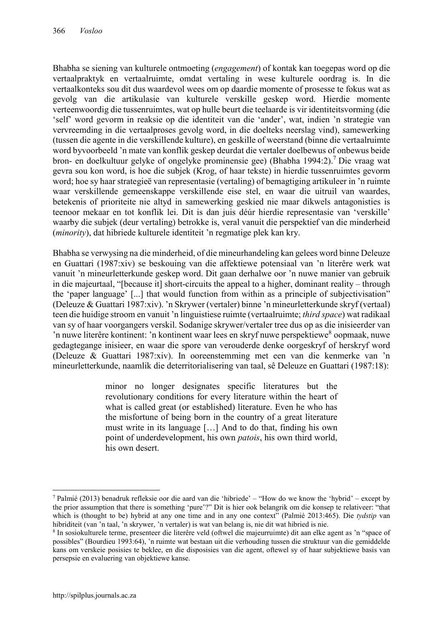Bhabha se siening van kulturele ontmoeting (*engagement*) of kontak kan toegepas word op die vertaalpraktyk en vertaalruimte, omdat vertaling in wese kulturele oordrag is. In die vertaalkonteks sou dit dus waardevol wees om op daardie momente of prosesse te fokus wat as gevolg van die artikulasie van kulturele verskille geskep word. Hierdie momente verteenwoordig die tussenruimtes, wat op hulle beurt die teelaarde is vir identiteitsvorming (die 'self' word gevorm in reaksie op die identiteit van die 'ander', wat, indien 'n strategie van vervreemding in die vertaalproses gevolg word, in die doelteks neerslag vind), samewerking (tussen die agente in die verskillende kulture), en geskille of weerstand (binne die vertaalruimte word byvoorbeeld 'n mate van konflik geskep deurdat die vertaler doelbewus of onbewus beide bron- en doelkultuur gelyke of ongelyke prominensie gee) (Bhabha 1994:2).7 Die vraag wat gevra sou kon word, is hoe die subjek (Krog, of haar tekste) in hierdie tussenruimtes gevorm word; hoe sy haar strategieë van representasie (vertaling) of bemagtiging artikuleer in 'n ruimte waar verskillende gemeenskappe verskillende eise stel, en waar die uitruil van waardes, betekenis of prioriteite nie altyd in samewerking geskied nie maar dikwels antagonisties is teenoor mekaar en tot konflik lei. Dit is dan juis déúr hierdie representasie van 'verskille' waarby die subjek (deur vertaling) betrokke is, veral vanuit die perspektief van die minderheid (*minority*), dat hibriede kulturele identiteit 'n regmatige plek kan kry.

Bhabha se verwysing na die minderheid, of die mineurhandeling kan gelees word binne Deleuze en Guattari (1987:xiv) se beskouing van die affektiewe potensiaal van 'n literêre werk wat vanuit 'n mineurletterkunde geskep word. Dit gaan derhalwe oor 'n nuwe manier van gebruik in die majeurtaal, "[because it] short-circuits the appeal to a higher, dominant reality – through the 'paper language' [...] that would function from within as a principle of subjectivisation" (Deleuze & Guattari 1987:xiv). 'n Skrywer (vertaler) binne 'n mineurletterkunde skryf (vertaal) teen die huidige stroom en vanuit 'n linguistiese ruimte (vertaalruimte; *third space*) wat radikaal van sy of haar voorgangers verskil. Sodanige skrywer/vertaler tree dus op as die inisieerder van 'n nuwe literêre kontinent: 'n kontinent waar lees en skryf nuwe perspektiewe<sup>8</sup> oopmaak, nuwe gedagtegange inisieer, en waar die spore van verouderde denke oorgeskryf of herskryf word (Deleuze & Guattari 1987:xiv). In ooreenstemming met een van die kenmerke van 'n mineurletterkunde, naamlik die deterritorialisering van taal, sê Deleuze en Guattari (1987:18):

> minor no longer designates specific literatures but the revolutionary conditions for every literature within the heart of what is called great (or established) literature. Even he who has the misfortune of being born in the country of a great literature must write in its language […] And to do that, finding his own point of underdevelopment, his own *patois*, his own third world, his own desert.

<sup>7</sup> Palmié (2013) benadruk refleksie oor die aard van die 'hibriede' – "How do we know the 'hybrid' – except by the prior assumption that there is something 'pure'?" Dit is hier ook belangrik om die konsep te relativeer: "that which is (thought to be) hybrid at any one time and in any one context" (Palmié 2013:465). Die *tydstip* van hibriditeit (van 'n taal, 'n skrywer, 'n vertaler) is wat van belang is, nie dit wat hibried is nie.

<sup>8</sup> In sosiokulturele terme, presenteer die literêre veld (oftwel die majeurruimte) dit aan elke agent as 'n "space of possibles" (Bourdieu 1993:64), 'n ruimte wat bestaan uit die verhouding tussen die struktuur van die gemiddelde kans om verskeie posisies te beklee, en die disposisies van die agent, oftewel sy of haar subjektiewe basis van persepsie en evaluering van objektiewe kanse.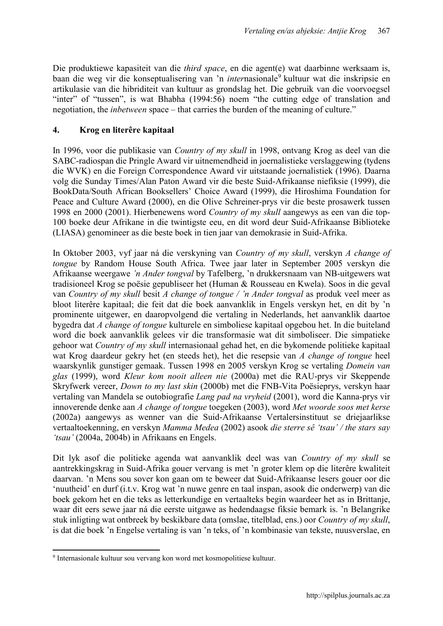Die produktiewe kapasiteit van die *third space*, en die agent(e) wat daarbinne werksaam is, baan die weg vir die konseptualisering van 'n *inter*nasionale<sup>9</sup> kultuur wat die inskripsie en artikulasie van die hibriditeit van kultuur as grondslag het. Die gebruik van die voorvoegsel "inter" of "tussen", is wat Bhabha (1994:56) noem "the cutting edge of translation and negotiation, the *inbetween* space – that carries the burden of the meaning of culture."

# 4. Krog en literêre kapitaal

In 1996, voor die publikasie van *Country of my skull* in 1998, ontvang Krog as deel van die SABC-radiospan die Pringle Award vir uitnemendheid in joernalistieke verslaggewing (tydens die WVK) en die Foreign Correspondence Award vir uitstaande joernalistiek (1996). Daarna volg die Sunday Times/Alan Paton Award vir die beste Suid-Afrikaanse niefiksie (1999), die BookData/South African Booksellers' Choice Award (1999), die Hiroshima Foundation for Peace and Culture Award (2000), en die Olive Schreiner-prys vir die beste prosawerk tussen 1998 en 2000 (2001). Hierbenewens word *Country of my skull* aangewys as een van die top-100 boeke deur Afrikane in die twintigste eeu, en dit word deur Suid-Afrikaanse Biblioteke (LIASA) genomineer as die beste boek in tien jaar van demokrasie in Suid-Afrika.

In Oktober 2003, vyf jaar ná die verskyning van *Country of my skull*, verskyn *A change of tongue* by Random House South Africa. Twee jaar later in September 2005 verskyn die Afrikaanse weergawe *'n Ander tongval* by Tafelberg, 'n drukkersnaam van NB-uitgewers wat tradisioneel Krog se poësie gepubliseer het (Human & Rousseau en Kwela). Soos in die geval van *Country of my skull* besit *A change of tongue / 'n Ander tongval* as produk veel meer as bloot literêre kapitaal; die feit dat die boek aanvanklik in Engels verskyn het, en dit by 'n prominente uitgewer, en daaropvolgend die vertaling in Nederlands, het aanvanklik daartoe bygedra dat *A change of tongue* kulturele en simboliese kapitaal opgebou het. In die buiteland word die boek aanvanklik gelees vir die transformasie wat dit simboliseer. Die simpatieke gehoor wat *Country of my skull* internasionaal gehad het, en die bykomende politieke kapitaal wat Krog daardeur gekry het (en steeds het), het die resepsie van *A change of tongue* heel waarskynlik gunstiger gemaak. Tussen 1998 en 2005 verskyn Krog se vertaling *Domein van glas* (1999), word *Kleur kom nooit alleen nie* (2000a) met die RAU-prys vir Skeppende Skryfwerk vereer, *Down to my last skin* (2000b) met die FNB-Vita Poësieprys, verskyn haar vertaling van Mandela se outobiografie *Lang pad na vryheid* (2001), word die Kanna-prys vir innoverende denke aan *A change of tongue* toegeken (2003), word *Met woorde soos met kerse*  (2002a) aangewys as wenner van die Suid-Afrikaanse Vertalersinstituut se driejaarlikse vertaaltoekenning, en verskyn *Mamma Medea* (2002) asook *die sterre sê 'tsau' / the stars say 'tsau'* (2004a, 2004b) in Afrikaans en Engels.

Dit lyk asof die politieke agenda wat aanvanklik deel was van *Country of my skull* se aantrekkingskrag in Suid-Afrika gouer vervang is met 'n groter klem op die literêre kwaliteit daarvan. 'n Mens sou sover kon gaan om te beweer dat Suid-Afrikaanse lesers gouer oor die 'nuutheid' en durf (i.t.v. Krog wat 'n nuwe genre en taal inspan, asook die onderwerp) van die boek gekom het en die teks as letterkundige en vertaalteks begin waardeer het as in Brittanje, waar dit eers sewe jaar ná die eerste uitgawe as hedendaagse fiksie bemark is. 'n Belangrike stuk inligting wat ontbreek by beskikbare data (omslae, titelblad, ens.) oor *Country of my skull*, is dat die boek 'n Engelse vertaling is van 'n teks, of 'n kombinasie van tekste, nuusverslae, en

 $\overline{a}$ <sup>9</sup> Internasionale kultuur sou vervang kon word met kosmopolitiese kultuur.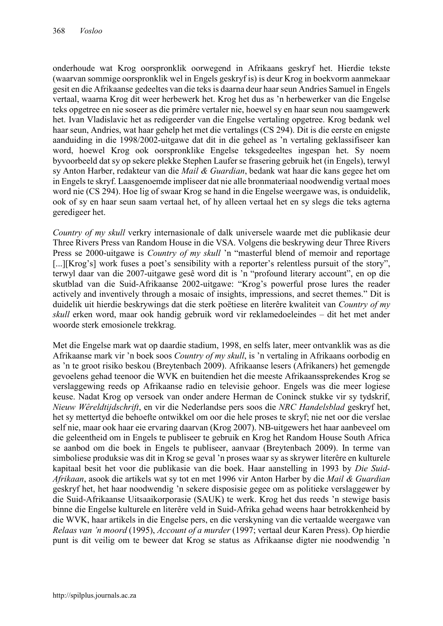onderhoude wat Krog oorspronklik oorwegend in Afrikaans geskryf het. Hierdie tekste (waarvan sommige oorspronklik wel in Engels geskryf is) is deur Krog in boekvorm aanmekaar gesit en die Afrikaanse gedeeltes van die teks is daarna deur haar seun Andries Samuel in Engels vertaal, waarna Krog dit weer herbewerk het. Krog het dus as 'n herbewerker van die Engelse teks opgetree en nie soseer as die primêre vertaler nie, hoewel sy en haar seun nou saamgewerk het. Ivan Vladislavic het as redigeerder van die Engelse vertaling opgetree. Krog bedank wel haar seun, Andries, wat haar gehelp het met die vertalings (CS 294). Dit is die eerste en enigste aanduiding in die 1998/2002-uitgawe dat dit in die geheel as 'n vertaling geklassifiseer kan word, hoewel Krog ook oorspronklike Engelse teksgedeeltes ingespan het. Sy noem byvoorbeeld dat sy op sekere plekke Stephen Laufer se frasering gebruik het (in Engels), terwyl sy Anton Harber, redakteur van die *Mail & Guardian*, bedank wat haar die kans gegee het om in Engels te skryf. Laasgenoemde impliseer dat nie alle bronmateriaal noodwendig vertaal moes word nie (CS 294). Hoe lig of swaar Krog se hand in die Engelse weergawe was, is onduidelik, ook of sy en haar seun saam vertaal het, of hy alleen vertaal het en sy slegs die teks agterna geredigeer het.

*Country of my skull* verkry internasionale of dalk universele waarde met die publikasie deur Three Rivers Press van Random House in die VSA. Volgens die beskrywing deur Three Rivers Press se 2000-uitgawe is *Country of my skull* 'n "masterful blend of memoir and reportage [...][Krog's] work fuses a poet's sensibility with a reporter's relentless pursuit of the story", terwyl daar van die 2007-uitgawe gesê word dit is 'n "profound literary account", en op die skutblad van die Suid-Afrikaanse 2002-uitgawe: "Krog's powerful prose lures the reader actively and inventively through a mosaic of insights, impressions, and secret themes." Dit is duidelik uit hierdie beskrywings dat die sterk poëtiese en literêre kwaliteit van *Country of my skull* erken word, maar ook handig gebruik word vir reklamedoeleindes – dit het met ander woorde sterk emosionele trekkrag.

Met die Engelse mark wat op daardie stadium, 1998, en selfs later, meer ontvanklik was as die Afrikaanse mark vir 'n boek soos *Country of my skull*, is 'n vertaling in Afrikaans oorbodig en as 'n te groot risiko beskou (Breytenbach 2009). Afrikaanse lesers (Afrikaners) het gemengde gevoelens gehad teenoor die WVK en buitendien het die meeste Afrikaanssprekendes Krog se verslaggewing reeds op Afrikaanse radio en televisie gehoor. Engels was die meer logiese keuse. Nadat Krog op versoek van onder andere Herman de Coninck stukke vir sy tydskrif, *Nieuw Wêreldtijdschrift*, en vir die Nederlandse pers soos die *NRC Handelsblad* geskryf het, het sy mettertyd die behoefte ontwikkel om oor die hele proses te skryf; nie net oor die verslae self nie, maar ook haar eie ervaring daarvan (Krog 2007). NB-uitgewers het haar aanbeveel om die geleentheid om in Engels te publiseer te gebruik en Krog het Random House South Africa se aanbod om die boek in Engels te publiseer, aanvaar (Breytenbach 2009). In terme van simboliese produksie was dit in Krog se geval 'n proses waar sy as skrywer literêre en kulturele kapitaal besit het voor die publikasie van die boek. Haar aanstelling in 1993 by *Die Suid-Afrikaan*, asook die artikels wat sy tot en met 1996 vir Anton Harber by die *Mail & Guardian* geskryf het, het haar noodwendig 'n sekere disposisie gegee om as politieke verslaggewer by die Suid-Afrikaanse Uitsaaikorporasie (SAUK) te werk. Krog het dus reeds 'n stewige basis binne die Engelse kulturele en literêre veld in Suid-Afrika gehad weens haar betrokkenheid by die WVK, haar artikels in die Engelse pers, en die verskyning van die vertaalde weergawe van *Relaas van 'n moord* (1995), *Account of a murder* (1997; vertaal deur Karen Press). Op hierdie punt is dit veilig om te beweer dat Krog se status as Afrikaanse digter nie noodwendig 'n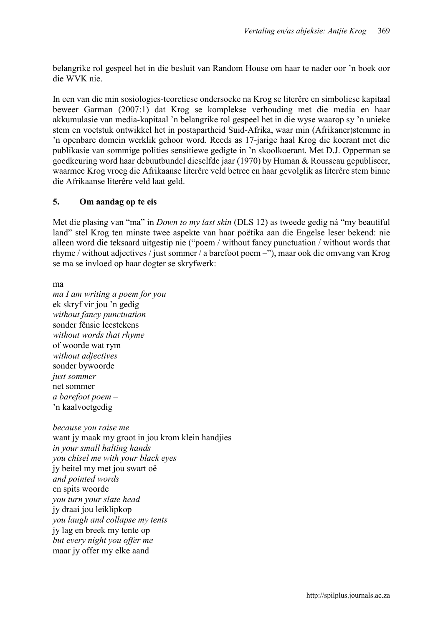belangrike rol gespeel het in die besluit van Random House om haar te nader oor 'n boek oor die WVK nie.

In een van die min sosiologies-teoretiese ondersoeke na Krog se literêre en simboliese kapitaal beweer Garman (2007:1) dat Krog se komplekse verhouding met die media en haar akkumulasie van media-kapitaal 'n belangrike rol gespeel het in die wyse waarop sy 'n unieke stem en voetstuk ontwikkel het in postapartheid Suid-Afrika, waar min (Afrikaner)stemme in 'n openbare domein werklik gehoor word. Reeds as 17-jarige haal Krog die koerant met die publikasie van sommige polities sensitiewe gedigte in 'n skoolkoerant. Met D.J. Opperman se goedkeuring word haar debuutbundel dieselfde jaar (1970) by Human & Rousseau gepubliseer, waarmee Krog vroeg die Afrikaanse literêre veld betree en haar gevolglik as literêre stem binne die Afrikaanse literêre veld laat geld.

## 5. Om aandag op te eis

Met die plasing van "ma" in *Down to my last skin* (DLS 12) as tweede gedig ná "my beautiful land" stel Krog ten minste twee aspekte van haar poëtika aan die Engelse leser bekend: nie alleen word die teksaard uitgestip nie ("poem / without fancy punctuation / without words that rhyme / without adjectives / just sommer / a barefoot poem –"), maar ook die omvang van Krog se ma se invloed op haar dogter se skryfwerk:

ma

*ma I am writing a poem for you* ek skryf vir jou 'n gedig *without fancy punctuation* sonder fênsie leestekens *without words that rhyme* of woorde wat rym *without adjectives* sonder bywoorde *just sommer* net sommer *a barefoot poem –* 'n kaalvoetgedig

*because you raise me* want iv maak my groot in jou krom klein handjies *in your small halting hands you chisel me with your black eyes* jy beitel my met jou swart oë *and pointed words* en spits woorde *you turn your slate head* jy draai jou leiklipkop *you laugh and collapse my tents* jy lag en breek my tente op *but every night you offer me* maar jy offer my elke aand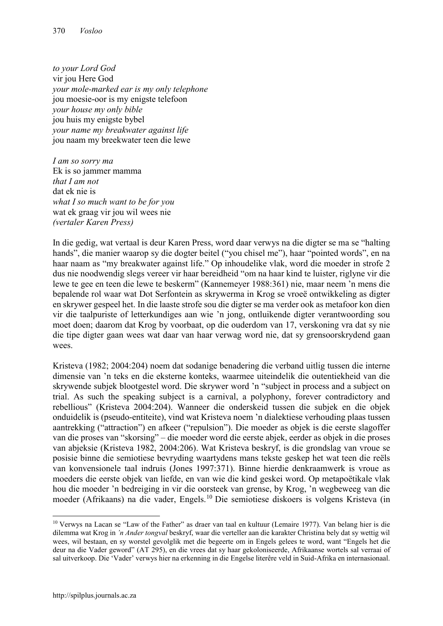*to your Lord God* vir jou Here God *your mole-marked ear is my only telephone* jou moesie-oor is my enigste telefoon *your house my only bible* jou huis my enigste bybel *your name my breakwater against life* jou naam my breekwater teen die lewe

*I am so sorry ma* Ek is so jammer mamma *that I am not* dat ek nie is *what I so much want to be for you* wat ek graag vir jou wil wees nie *(vertaler Karen Press)*

In die gedig, wat vertaal is deur Karen Press, word daar verwys na die digter se ma se "halting hands", die manier waarop sy die dogter beitel ("you chisel me"), haar "pointed words", en na haar naam as "my breakwater against life." Op inhoudelike vlak, word die moeder in strofe 2 dus nie noodwendig slegs vereer vir haar bereidheid "om na haar kind te luister, riglyne vir die lewe te gee en teen die lewe te beskerm" (Kannemeyer 1988:361) nie, maar neem 'n mens die bepalende rol waar wat Dot Serfontein as skrywerma in Krog se vroeë ontwikkeling as digter en skrywer gespeel het. In die laaste strofe sou die digter se ma verder ook as metafoor kon dien vir die taalpuriste of letterkundiges aan wie 'n jong, ontluikende digter verantwoording sou moet doen; daarom dat Krog by voorbaat, op die ouderdom van 17, verskoning vra dat sy nie die tipe digter gaan wees wat daar van haar verwag word nie, dat sy grensoorskrydend gaan wees.

Kristeva (1982; 2004:204) noem dat sodanige benadering die verband uitlig tussen die interne dimensie van 'n teks en die eksterne konteks, waarmee uiteindelik die outentiekheid van die skrywende subjek blootgestel word. Die skrywer word 'n "subject in process and a subject on trial. As such the speaking subject is a carnival, a polyphony, forever contradictory and rebellious" (Kristeva 2004:204). Wanneer die onderskeid tussen die subjek en die objek onduidelik is (pseudo-entiteite), vind wat Kristeva noem 'n dialektiese verhouding plaas tussen aantrekking ("attraction") en afkeer ("repulsion"). Die moeder as objek is die eerste slagoffer van die proses van "skorsing" – die moeder word die eerste abjek, eerder as objek in die proses van abjeksie (Kristeva 1982, 2004:206). Wat Kristeva beskryf, is die grondslag van vroue se posisie binne die semiotiese bevryding waartydens mans tekste geskep het wat teen die reëls van konvensionele taal indruis (Jones 1997:371). Binne hierdie denkraamwerk is vroue as moeders die eerste objek van liefde, en van wie die kind geskei word. Op metapoëtikale vlak hou die moeder 'n bedreiging in vir die oorsteek van grense, by Krog, 'n wegbeweeg van die moeder (Afrikaans) na die vader, Engels. <sup>10</sup> Die semiotiese diskoers is volgens Kristeva (in

<sup>&</sup>lt;sup>10</sup> Verwys na Lacan se "Law of the Father" as draer van taal en kultuur (Lemaire 1977). Van belang hier is die dilemma wat Krog in *'n Ander tongval* beskryf, waar die verteller aan die karakter Christina bely dat sy wettig wil wees, wil bestaan, en sy worstel gevolglik met die begeerte om in Engels gelees te word, want "Engels het die deur na die Vader geword" (AT 295), en die vrees dat sy haar gekoloniseerde, Afrikaanse wortels sal verraai of sal uitverkoop. Die 'Vader' verwys hier na erkenning in die Engelse literêre veld in Suid-Afrika en internasionaal.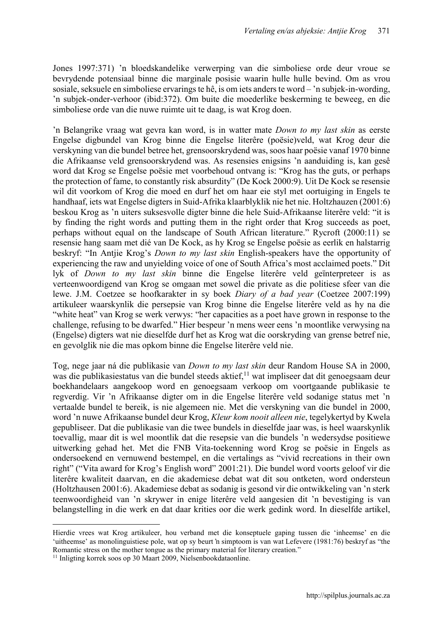Jones 1997:371) 'n bloedskandelike verwerping van die simboliese orde deur vroue se bevrydende potensiaal binne die marginale posisie waarin hulle hulle bevind. Om as vrou sosiale, seksuele en simboliese ervarings te hê, is om iets anders te word – 'n subjek-in-wording, 'n subjek-onder-verhoor (ibid:372). Om buite die moederlike beskerming te beweeg, en die simboliese orde van die nuwe ruimte uit te daag, is wat Krog doen.

'n Belangrike vraag wat gevra kan word, is in watter mate *Down to my last skin* as eerste Engelse digbundel van Krog binne die Engelse literêre (poësie)veld, wat Krog deur die verskyning van die bundel betree het, grensoorskrydend was, soos haar poësie vanaf 1970 binne die Afrikaanse veld grensoorskrydend was. As resensies enigsins 'n aanduiding is, kan gesê word dat Krog se Engelse poësie met voorbehoud ontvang is: "Krog has the guts, or perhaps the protection of fame, to constantly risk absurdity" (De Kock 2000:9). Uit De Kock se resensie wil dit voorkom of Krog die moed en durf het om haar eie styl met oortuiging in Engels te handhaaf, iets wat Engelse digters in Suid-Afrika klaarblyklik nie het nie. Holtzhauzen (2001:6) beskou Krog as 'n uiters suksesvolle digter binne die hele Suid-Afrikaanse literêre veld: "it is by finding the right words and putting them in the right order that Krog succeeds as poet, perhaps without equal on the landscape of South African literature." Rycroft (2000:11) se resensie hang saam met dié van De Kock, as hy Krog se Engelse poësie as eerlik en halstarrig beskryf: "In Antjie Krog's *Down to my last skin* English-speakers have the opportunity of experiencing the raw and unyielding voice of one of South Africa's most acclaimed poets." Dit lyk of *Down to my last skin* binne die Engelse literêre veld geïnterpreteer is as verteenwoordigend van Krog se omgaan met sowel die private as die politiese sfeer van die lewe. J.M. Coetzee se hoofkarakter in sy boek *Diary of a bad year* (Coetzee 2007:199) artikuleer waarskynlik die persepsie van Krog binne die Engelse literêre veld as hy na die "white heat" van Krog se werk verwys: "her capacities as a poet have grown in response to the challenge, refusing to be dwarfed." Hier bespeur 'n mens weer eens 'n moontlike verwysing na (Engelse) digters wat nie dieselfde durf het as Krog wat die oorskryding van grense betref nie, en gevolglik nie die mas opkom binne die Engelse literêre veld nie.

Tog, nege jaar ná die publikasie van *Down to my last skin* deur Random House SA in 2000, was die publikasiestatus van die bundel steeds aktief, <sup>11</sup> wat impliseer dat dit genoegsaam deur boekhandelaars aangekoop word en genoegsaam verkoop om voortgaande publikasie te regverdig. Vir 'n Afrikaanse digter om in die Engelse literêre veld sodanige status met 'n vertaalde bundel te bereik, is nie algemeen nie. Met die verskyning van die bundel in 2000, word 'n nuwe Afrikaanse bundel deur Krog, *Kleur kom nooit alleen nie*, tegelykertyd by Kwela gepubliseer. Dat die publikasie van die twee bundels in dieselfde jaar was, is heel waarskynlik toevallig, maar dit is wel moontlik dat die resepsie van die bundels 'n wedersydse positiewe uitwerking gehad het. Met die FNB Vita-toekenning word Krog se poësie in Engels as ondersoekend en vernuwend bestempel, en die vertalings as "vivid recreations in their own right" ("Vita award for Krog's English word" 2001:21). Die bundel word voorts geloof vir die literêre kwaliteit daarvan, en die akademiese debat wat dit sou ontketen, word ondersteun (Holtzhausen 2001:6). Akademiese debat as sodanig is gesond vir die ontwikkeling van 'n sterk teenwoordigheid van 'n skrywer in enige literêre veld aangesien dit 'n bevestiging is van belangstelling in die werk en dat daar krities oor die werk gedink word. In dieselfde artikel,

**<sup>.</sup>** Hierdie vrees wat Krog artikuleer, hou verband met die konseptuele gaping tussen die 'inheemse' en die 'uitheemse' as monolinguistiese pole, wat op sy beurt 'n simptoom is van wat Lefevere (1981:76) beskryf as "the Romantic stress on the mother tongue as the primary material for literary creation."

<sup>11</sup> Inligting korrek soos op 30 Maart 2009, Nielsenbookdataonline.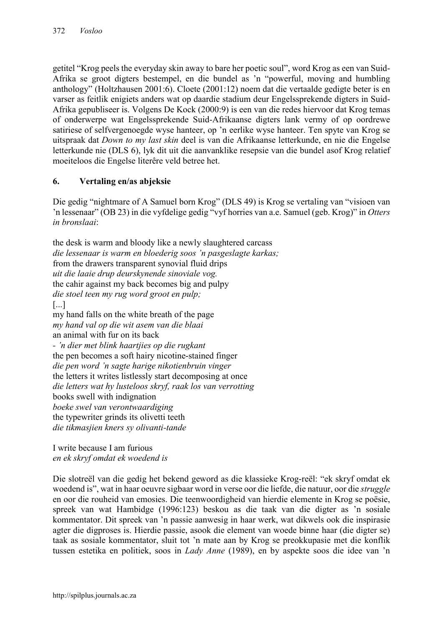getitel "Krog peels the everyday skin away to bare her poetic soul", word Krog as een van Suid-Afrika se groot digters bestempel, en die bundel as 'n "powerful, moving and humbling anthology" (Holtzhausen 2001:6). Cloete (2001:12) noem dat die vertaalde gedigte beter is en varser as feitlik enigiets anders wat op daardie stadium deur Engelssprekende digters in Suid-Afrika gepubliseer is. Volgens De Kock (2000:9) is een van die redes hiervoor dat Krog temas of onderwerpe wat Engelssprekende Suid-Afrikaanse digters lank vermy of op oordrewe satiriese of selfvergenoegde wyse hanteer, op 'n eerlike wyse hanteer. Ten spyte van Krog se uitspraak dat *Down to my last skin* deel is van die Afrikaanse letterkunde, en nie die Engelse letterkunde nie (DLS 6), lyk dit uit die aanvanklike resepsie van die bundel asof Krog relatief moeiteloos die Engelse literêre veld betree het.

# 6. Vertaling en/as abjeksie

Die gedig "nightmare of A Samuel born Krog" (DLS 49) is Krog se vertaling van "visioen van 'n lessenaar" (OB 23) in die vyfdelige gedig "vyf horries van a.e. Samuel (geb. Krog)" in *Otters in bronslaai*:

the desk is warm and bloody like a newly slaughtered carcass *die lessenaar is warm en bloederig soos 'n pasgeslagte karkas;* from the drawers transparent synovial fluid drips *uit die laaie drup deurskynende sinoviale vog.* the cahir against my back becomes big and pulpy *die stoel teen my rug word groot en pulp;* [...] my hand falls on the white breath of the page *my hand val op die wit asem van die blaai* an animal with fur on its back *- 'n dier met blink haartjies op die rugkant* the pen becomes a soft hairy nicotine-stained finger *die pen word 'n sagte harige nikotienbruin vinger* the letters it writes listlessly start decomposing at once *die letters wat hy lusteloos skryf, raak los van verrotting* books swell with indignation *boeke swel van verontwaardiging* the typewriter grinds its olivetti teeth *die tikmasjien kners sy olivanti-tande*

I write because I am furious *en ek skryf omdat ek woedend is*

Die slotreël van die gedig het bekend geword as die klassieke Krog-reël: "ek skryf omdat ek woedend is", wat in haar oeuvre sigbaar word in verse oor die liefde, die natuur, oor die *struggle*  en oor die rouheid van emosies. Die teenwoordigheid van hierdie elemente in Krog se poësie, spreek van wat Hambidge (1996:123) beskou as die taak van die digter as 'n sosiale kommentator. Dit spreek van 'n passie aanwesig in haar werk, wat dikwels ook die inspirasie agter die digproses is. Hierdie passie, asook die element van woede binne haar (die digter se) taak as sosiale kommentator, sluit tot 'n mate aan by Krog se preokkupasie met die konflik tussen estetika en politiek, soos in *Lady Anne* (1989), en by aspekte soos die idee van 'n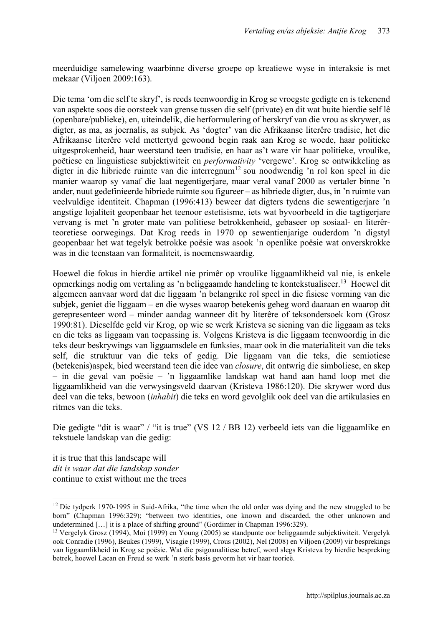meerduidige samelewing waarbinne diverse groepe op kreatiewe wyse in interaksie is met mekaar (Viljoen 2009:163).

Die tema 'om die self te skryf', is reeds teenwoordig in Krog se vroegste gedigte en is tekenend van aspekte soos die oorsteek van grense tussen die self (private) en dit wat buite hierdie self lê (openbare/publieke), en, uiteindelik, die herformulering of herskryf van die vrou as skrywer, as digter, as ma, as joernalis, as subjek. As 'dogter' van die Afrikaanse literêre tradisie, het die Afrikaanse literêre veld mettertyd gewoond begin raak aan Krog se woede, haar politieke uitgesprokenheid, haar weerstand teen tradisie, en haar as't ware vir haar politieke, vroulike, poëtiese en linguistiese subjektiwiteit en *performativity* 'vergewe'. Krog se ontwikkeling as digter in die hibriede ruimte van die interregnum<sup>12</sup> sou noodwendig 'n rol kon speel in die manier waarop sy vanaf die laat negentigerjare, maar veral vanaf 2000 as vertaler binne 'n ander, nuut gedefinieerde hibriede ruimte sou figureer – as hibriede digter, dus, in 'n ruimte van veelvuldige identiteit. Chapman (1996:413) beweer dat digters tydens die sewentigerjare 'n angstige lojaliteit geopenbaar het teenoor estetisisme, iets wat byvoorbeeld in die tagtigerjare vervang is met 'n groter mate van politiese betrokkenheid, gebaseer op sosiaal- en literêrteoretiese oorwegings. Dat Krog reeds in 1970 op sewentienjarige ouderdom 'n digstyl geopenbaar het wat tegelyk betrokke poësie was asook 'n openlike poësie wat onverskrokke was in die teenstaan van formaliteit, is noemenswaardig.

Hoewel die fokus in hierdie artikel nie primêr op vroulike liggaamlikheid val nie, is enkele opmerkings nodig om vertaling as 'n beliggaamde handeling te kontekstualiseer.13 Hoewel dit algemeen aanvaar word dat die liggaam 'n belangrike rol speel in die fisiese vorming van die subjek, geniet die liggaam – en die wyses waarop betekenis geheg word daaraan en waarop dit gerepresenteer word – minder aandag wanneer dit by literêre of teksondersoek kom (Grosz 1990:81). Dieselfde geld vir Krog, op wie se werk Kristeva se siening van die liggaam as teks en die teks as liggaam van toepassing is. Volgens Kristeva is die liggaam teenwoordig in die teks deur beskrywings van liggaamsdele en funksies, maar ook in die materialiteit van die teks self, die struktuur van die teks of gedig. Die liggaam van die teks, die semiotiese (betekenis)aspek, bied weerstand teen die idee van *closure*, dit ontwrig die simboliese, en skep – in die geval van poësie – 'n liggaamlike landskap wat hand aan hand loop met die liggaamlikheid van die verwysingsveld daarvan (Kristeva 1986:120). Die skrywer word dus deel van die teks, bewoon (*inhabit*) die teks en word gevolglik ook deel van die artikulasies en ritmes van die teks.

Die gedigte "dit is waar" / "it is true" (VS 12 / BB 12) verbeeld iets van die liggaamlike en tekstuele landskap van die gedig:

it is true that this landscape will *dit is waar dat die landskap sonder* continue to exist without me the trees

<sup>&</sup>lt;sup>12</sup> Die tydperk 1970-1995 in Suid-Afrika, "the time when the old order was dying and the new struggled to be born" (Chapman 1996:329); "between two identities, one known and discarded, the other unknown and undetermined [...] it is a place of shifting ground" (Gordimer in Chapman 1996:329).

<sup>13</sup> Vergelyk Grosz (1994), Moi (1999) en Young (2005) se standpunte oor beliggaamde subjektiwiteit. Vergelyk ook Conradie (1996), Beukes (1999), Visagie (1999), Crous (2002), Nel (2008) en Viljoen (2009) vir besprekings van liggaamlikheid in Krog se poësie. Wat die psigoanalitiese betref, word slegs Kristeva by hierdie bespreking betrek, hoewel Lacan en Freud se werk 'n sterk basis gevorm het vir haar teorieë.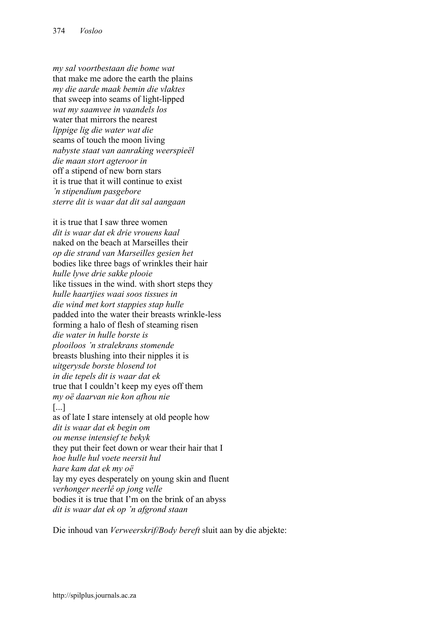*my sal voortbestaan die bome wat* that make me adore the earth the plains *my die aarde maak bemin die vlaktes* that sweep into seams of light-lipped *wat my saamvee in vaandels los* water that mirrors the nearest *lippige lig die water wat die* seams of touch the moon living *nabyste staat van aanraking weerspieël die maan stort agteroor in* off a stipend of new born stars it is true that it will continue to exist *'n stipendium pasgebore sterre dit is waar dat dit sal aangaan*

it is true that I saw three women *dit is waar dat ek drie vrouens kaal* naked on the beach at Marseilles their *op die strand van Marseilles gesien het* bodies like three bags of wrinkles their hair *hulle lywe drie sakke plooie* like tissues in the wind. with short steps they *hulle haartjies waai soos tissues in die wind met kort stappies stap hulle* padded into the water their breasts wrinkle-less forming a halo of flesh of steaming risen *die water in hulle borste is plooiloos 'n stralekrans stomende* breasts blushing into their nipples it is *uitgerysde borste blosend tot in die tepels dit is waar dat ek* true that I couldn't keep my eyes off them *my oë daarvan nie kon afhou nie* [...] as of late I stare intensely at old people how *dit is waar dat ek begin om ou mense intensief te bekyk* they put their feet down or wear their hair that I *hoe hulle hul voete neersit hul hare kam dat ek my oë*  lay my eyes desperately on young skin and fluent *verhonger neerlê op jong velle*  bodies it is true that I'm on the brink of an abyss *dit is waar dat ek op 'n afgrond staan*

Die inhoud van *Verweerskrif/Body bereft* sluit aan by die abjekte: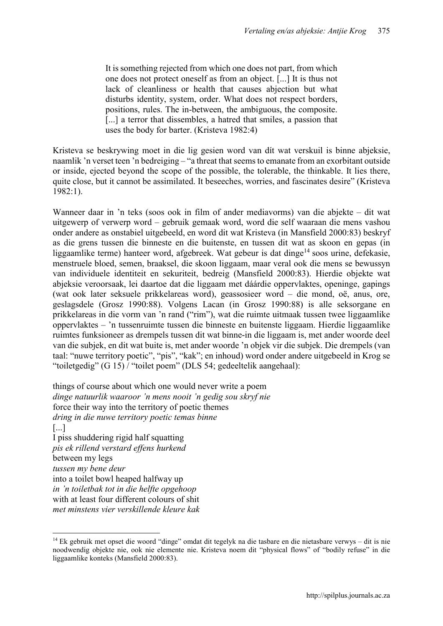It is something rejected from which one does not part, from which one does not protect oneself as from an object. [...] It is thus not lack of cleanliness or health that causes abjection but what disturbs identity, system, order. What does not respect borders, positions, rules. The in-between, the ambiguous, the composite. [...] a terror that dissembles, a hatred that smiles, a passion that uses the body for barter. (Kristeva 1982:4)

Kristeva se beskrywing moet in die lig gesien word van dít wat verskuil is binne abjeksie, naamlik 'n verset teen 'n bedreiging – "a threat that seems to emanate from an exorbitant outside or inside, ejected beyond the scope of the possible, the tolerable, the thinkable. It lies there, quite close, but it cannot be assimilated. It beseeches, worries, and fascinates desire" (Kristeva 1982:1).

Wanneer daar in 'n teks (soos ook in film of ander mediavorms) van die abjekte – dit wat uitgewerp of verwerp word – gebruik gemaak word, word die self waaraan die mens vashou onder andere as onstabiel uitgebeeld, en word dit wat Kristeva (in Mansfield 2000:83) beskryf as die grens tussen die binneste en die buitenste, en tussen dit wat as skoon en gepas (in liggaamlike terme) hanteer word, afgebreek. Wat gebeur is dat dinge<sup>14</sup> soos urine, defekasie, menstruele bloed, semen, braaksel, die skoon liggaam, maar veral ook die mens se bewussyn van individuele identiteit en sekuriteit, bedreig (Mansfield 2000:83). Hierdie objekte wat abjeksie veroorsaak, lei daartoe dat die liggaam met dáárdie oppervlaktes, openinge, gapings (wat ook later seksuele prikkelareas word), geassosieer word – die mond, oë, anus, ore, geslagsdele (Grosz 1990:88). Volgens Lacan (in Grosz 1990:88) is alle seksorgane en prikkelareas in die vorm van 'n rand ("rim"), wat die ruimte uitmaak tussen twee liggaamlike oppervlaktes – 'n tussenruimte tussen die binneste en buitenste liggaam. Hierdie liggaamlike ruimtes funksioneer as drempels tussen dit wat binne-in die liggaam is, met ander woorde deel van die subjek, en dit wat buite is, met ander woorde 'n objek vir die subjek. Die drempels (van taal: "nuwe territory poetic", "pis", "kak"; en inhoud) word onder andere uitgebeeld in Krog se "toiletgedig" (G 15) / "toilet poem" (DLS 54; gedeeltelik aangehaal):

things of course about which one would never write a poem *dinge natuurlik waaroor 'n mens nooit 'n gedig sou skryf nie* force their way into the territory of poetic themes *dring in die nuwe territory poetic temas binne* [...] I piss shuddering rigid half squatting *pis ek rillend verstard effens hurkend* between my legs *tussen my bene deur* into a toilet bowl heaped halfway up *in 'n toiletbak tot in die helfte opgehoop* with at least four different colours of shit *met minstens vier verskillende kleure kak*

1

<sup>14</sup> Ek gebruik met opset die woord "dinge" omdat dit tegelyk na die tasbare en die nietasbare verwys – dit is nie noodwendig objekte nie, ook nie elemente nie. Kristeva noem dit "physical flows" of "bodily refuse" in die liggaamlike konteks (Mansfield 2000:83).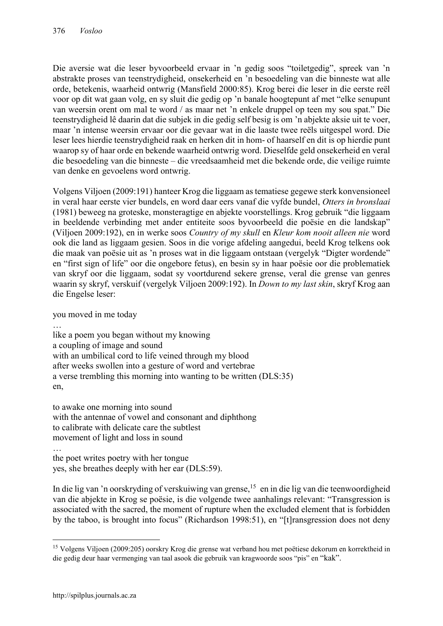Die aversie wat die leser byvoorbeeld ervaar in 'n gedig soos "toiletgedig", spreek van 'n abstrakte proses van teenstrydigheid, onsekerheid en 'n besoedeling van die binneste wat alle orde, betekenis, waarheid ontwrig (Mansfield 2000:85). Krog berei die leser in die eerste reël voor op dit wat gaan volg, en sy sluit die gedig op 'n banale hoogtepunt af met "elke senupunt van weersin orent om mal te word / as maar net 'n enkele druppel op teen my sou spat." Die teenstrydigheid lê daarin dat die subjek in die gedig self besig is om 'n abjekte aksie uit te voer, maar 'n intense weersin ervaar oor die gevaar wat in die laaste twee reëls uitgespel word. Die leser lees hierdie teenstrydigheid raak en herken dit in hom- of haarself en dit is op hierdie punt waarop sy of haar orde en bekende waarheid ontwrig word. Dieselfde geld onsekerheid en veral die besoedeling van die binneste – die vreedsaamheid met die bekende orde, die veilige ruimte van denke en gevoelens word ontwrig.

Volgens Viljoen (2009:191) hanteer Krog die liggaam as tematiese gegewe sterk konvensioneel in veral haar eerste vier bundels, en word daar eers vanaf die vyfde bundel, *Otters in bronslaai*  (1981) beweeg na groteske, monsteragtige en abjekte voorstellings. Krog gebruik "die liggaam in beeldende verbinding met ander entiteite soos byvoorbeeld die poësie en die landskap" (Viljoen 2009:192), en in werke soos *Country of my skull* en *Kleur kom nooit alleen nie* word ook die land as liggaam gesien. Soos in die vorige afdeling aangedui, beeld Krog telkens ook die maak van poësie uit as 'n proses wat in die liggaam ontstaan (vergelyk "Digter wordende" en "first sign of life" oor die ongebore fetus), en besin sy in haar poësie oor die problematiek van skryf oor die liggaam, sodat sy voortdurend sekere grense, veral die grense van genres waarin sy skryf, verskuif (vergelyk Viljoen 2009:192). In *Down to my last skin*, skryf Krog aan die Engelse leser:

you moved in me today

… like a poem you began without my knowing a coupling of image and sound with an umbilical cord to life veined through my blood after weeks swollen into a gesture of word and vertebrae a verse trembling this morning into wanting to be written (DLS:35) en,

to awake one morning into sound with the antennae of vowel and consonant and diphthong to calibrate with delicate care the subtlest movement of light and loss in sound

… the poet writes poetry with her tongue yes, she breathes deeply with her ear (DLS:59).

In die lig van 'n oorskryding of verskuiwing van grense,<sup>15</sup> en in die lig van die teenwoordigheid van die abjekte in Krog se poësie, is die volgende twee aanhalings relevant: "Transgression is associated with the sacred, the moment of rupture when the excluded element that is forbidden by the taboo, is brought into focus" (Richardson 1998:51), en "[t]ransgression does not deny

<sup>&</sup>lt;sup>15</sup> Volgens Viljoen (2009:205) oorskry Krog die grense wat verband hou met poëtiese dekorum en korrektheid in die gedig deur haar vermenging van taal asook die gebruik van kragwoorde soos "pis" en "kak".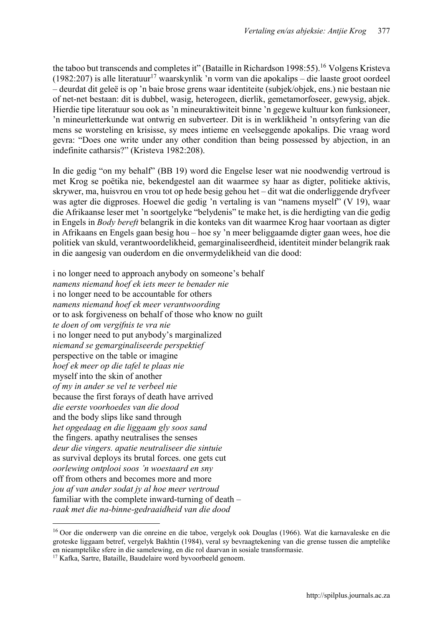the taboo but transcends and completes it" (Bataille in Richardson 1998:55).<sup>16</sup> Volgens Kristeva (1982:207) is alle literatuur<sup>17</sup> waarskynlik 'n vorm van die apokalips – die laaste groot oordeel – deurdat dit geleë is op 'n baie brose grens waar identiteite (subjek/objek, ens.) nie bestaan nie of net-net bestaan: dit is dubbel, wasig, heterogeen, dierlik, gemetamorfoseer, gewysig, abjek. Hierdie tipe literatuur sou ook as 'n mineuraktiwiteit binne 'n gegewe kultuur kon funksioneer, 'n mineurletterkunde wat ontwrig en subverteer. Dit is in werklikheid 'n ontsyfering van die mens se worsteling en krisisse, sy mees intieme en veelseggende apokalips. Die vraag word gevra: "Does one write under any other condition than being possessed by abjection, in an indefinite catharsis?" (Kristeva 1982:208).

In die gedig "on my behalf" (BB 19) word die Engelse leser wat nie noodwendig vertroud is met Krog se poëtika nie, bekendgestel aan dit waarmee sy haar as digter, politieke aktivis, skrywer, ma, huisvrou en vrou tot op hede besig gehou het – dit wat die onderliggende dryfveer was agter die digproses. Hoewel die gedig 'n vertaling is van "namens myself" (V 19), waar die Afrikaanse leser met 'n soortgelyke "belydenis" te make het, is die herdigting van die gedig in Engels in *Body bereft* belangrik in die konteks van dit waarmee Krog haar voortaan as digter in Afrikaans en Engels gaan besig hou – hoe sy 'n meer beliggaamde digter gaan wees, hoe die politiek van skuld, verantwoordelikheid, gemarginaliseerdheid, identiteit minder belangrik raak in die aangesig van ouderdom en die onvermydelikheid van die dood:

i no longer need to approach anybody on someone's behalf *namens niemand hoef ek iets meer te benader nie* i no longer need to be accountable for others *namens niemand hoef ek meer verantwoording* or to ask forgiveness on behalf of those who know no guilt *te doen of om vergifnis te vra nie* i no longer need to put anybody's marginalized *niemand se gemarginaliseerde perspektief* perspective on the table or imagine *hoef ek meer op die tafel te plaas nie* myself into the skin of another *of my in ander se vel te verbeel nie* because the first forays of death have arrived *die eerste voorhoedes van die dood* and the body slips like sand through *het opgedaag en die liggaam gly soos sand* the fingers. apathy neutralises the senses *deur die vingers. apatie neutraliseer die sintuie* as survival deploys its brutal forces. one gets cut *oorlewing ontplooi soos 'n woestaard en sny* off from others and becomes more and more *jou af van ander sodat jy al hoe meer vertroud* familiar with the complete inward-turning of death – *raak met die na-binne-gedraaidheid van die dood*

 $\overline{a}$ 

<sup>16</sup> Oor die onderwerp van die onreine en die taboe, vergelyk ook Douglas (1966). Wat die karnavaleske en die groteske liggaam betref, vergelyk Bakhtin (1984), veral sy bevraagtekening van die grense tussen die amptelike en nieamptelike sfere in die samelewing, en die rol daarvan in sosiale transformasie.

<sup>17</sup> Kafka, Sartre, Bataille, Baudelaire word byvoorbeeld genoem.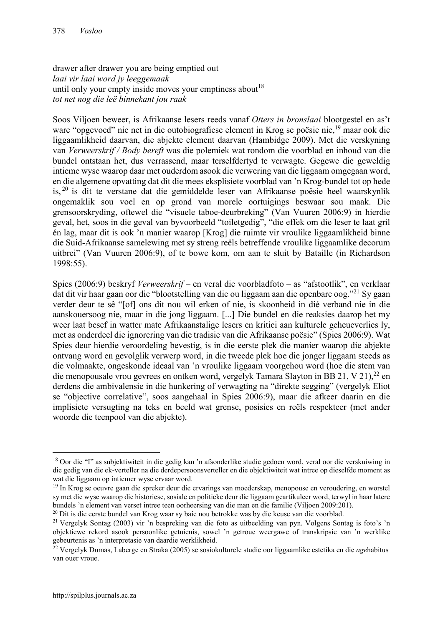drawer after drawer you are being emptied out *laai vir laai word jy leeggemaak* until only your empty inside moves your emptiness about  $18$ *tot net nog die leë binnekant jou raak*

Soos Viljoen beweer, is Afrikaanse lesers reeds vanaf *Otters in bronslaai* blootgestel en as't ware "opgevoed" nie net in die outobiografiese element in Krog se poësie nie,19 maar ook die liggaamlikheid daarvan, die abjekte element daarvan (Hambidge 2009). Met die verskyning van *Verweerskrif / Body bereft* was die polemiek wat rondom die voorblad en inhoud van die bundel ontstaan het, dus verrassend, maar terselfdertyd te verwagte. Gegewe die geweldig intieme wyse waarop daar met ouderdom asook die verwering van die liggaam omgegaan word, en die algemene opvatting dat dit die mees eksplisiete voorblad van 'n Krog-bundel tot op hede is, <sup>20</sup> is dit te verstane dat die gemiddelde leser van Afrikaanse poësie heel waarskynlik ongemaklik sou voel en op grond van morele oortuigings beswaar sou maak. Die grensoorskryding, oftewel die "visuele taboe-deurbreking" (Van Vuuren 2006:9) in hierdie geval, het, soos in die geval van byvoorbeeld "toiletgedig", "die effek om die leser te laat gril én lag, maar dit is ook 'n manier waarop [Krog] die ruimte vir vroulike liggaamlikheid binne die Suid-Afrikaanse samelewing met sy streng reëls betreffende vroulike liggaamlike decorum uitbrei" (Van Vuuren 2006:9), of te bowe kom, om aan te sluit by Bataille (in Richardson 1998:55).

Spies (2006:9) beskryf *Verweerskrif* – en veral die voorbladfoto – as "afstootlik", en verklaar dat dit vir haar gaan oor die "blootstelling van die ou liggaam aan die openbare oog."<sup>21</sup> Sy gaan verder deur te sê "[of] ons dit nou wil erken of nie, is skoonheid in dié verband nie in die aanskouersoog nie, maar in die jong liggaam. [...] Die bundel en die reaksies daarop het my weer laat besef in watter mate Afrikaanstalige lesers en kritici aan kulturele geheueverlies ly, met as onderdeel die ignorering van die tradisie van die Afrikaanse poësie" (Spies 2006:9). Wat Spies deur hierdie veroordeling bevestig, is in die eerste plek die manier waarop die abjekte ontvang word en gevolglik verwerp word, in die tweede plek hoe die jonger liggaam steeds as die volmaakte, ongeskonde ideaal van 'n vroulike liggaam voorgehou word (hoe die stem van die menopousale vrou gevrees en ontken word, vergelyk Tamara Slayton in BB 21, V 21),<sup>22</sup> en derdens die ambivalensie in die hunkering of verwagting na "direkte segging" (vergelyk Eliot se "objective correlative", soos aangehaal in Spies 2006:9), maar die afkeer daarin en die implisiete versugting na teks en beeld wat grense, posisies en reëls respekteer (met ander woorde die teenpool van die abjekte).

<sup>&</sup>lt;sup>18</sup> Oor die "I" as subjektiwiteit in die gedig kan 'n afsonderlike studie gedoen word, veral oor die verskuiwing in die gedig van die ek-verteller na die derdepersoonsverteller en die objektiwiteit wat intree op dieselfde moment as wat die liggaam op intiemer wyse ervaar word.

<sup>&</sup>lt;sup>19</sup> In Krog se oeuvre gaan die spreker deur die ervarings van moederskap, menopouse en veroudering, en worstel sy met die wyse waarop die historiese, sosiale en politieke deur die liggaam geartikuleer word, terwyl in haar latere bundels 'n element van verset intree teen oorheersing van die man en die familie (Viljoen 2009:201).

<sup>&</sup>lt;sup>20</sup> Dit is die eerste bundel van Krog waar sy baie nou betrokke was by die keuse van die voorblad.

<sup>21</sup> Vergelyk Sontag (2003) vir 'n bespreking van die foto as uitbeelding van pyn. Volgens Sontag is foto's 'n objektiewe rekord asook persoonlike getuienis, sowel 'n getroue weergawe of transkripsie van 'n werklike gebeurtenis as 'n interpretasie van daardie werklikheid.

<sup>22</sup> Vergelyk Dumas, Laberge en Straka (2005) se sosiokulturele studie oor liggaamlike estetika en die *age*habitus van ouer vroue.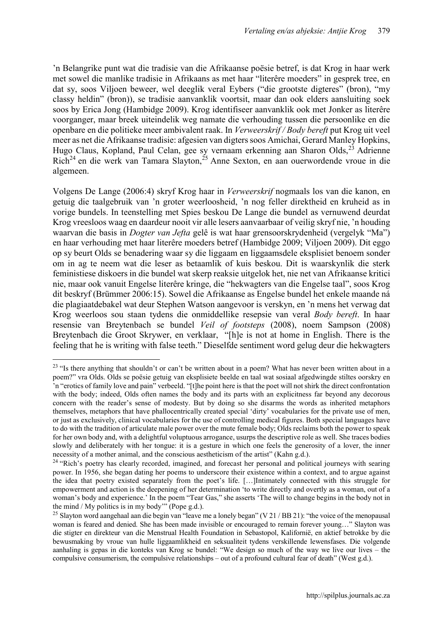'n Belangrike punt wat die tradisie van die Afrikaanse poësie betref, is dat Krog in haar werk met sowel die manlike tradisie in Afrikaans as met haar "literêre moeders" in gesprek tree, en dat sy, soos Viljoen beweer, wel deeglik veral Eybers ("die grootste digteres" (bron), "my classy heldin" (bron)), se tradisie aanvanklik voortsit, maar dan ook elders aansluiting soek soos by Erica Jong (Hambidge 2009). Krog identifiseer aanvanklik ook met Jonker as literêre voorganger, maar breek uiteindelik weg namate die verhouding tussen die persoonlike en die openbare en die politieke meer ambivalent raak. In *Verweerskrif / Body bereft* put Krog uit veel meer as net die Afrikaanse tradisie: afgesien van digters soos Amichai, Gerard Manley Hopkins, Hugo Claus, Kopland, Paul Celan, gee sy vernaam erkenning aan Sharon Olds,<sup>23</sup> Adrienne Rich<sup>24</sup> en die werk van Tamara Slayton,<sup>25</sup> Anne Sexton, en aan ouerwordende vroue in die algemeen.

Volgens De Lange (2006:4) skryf Krog haar in *Verweerskrif* nogmaals los van die kanon, en getuig die taalgebruik van 'n groter weerloosheid, 'n nog feller direktheid en kruheid as in vorige bundels. In teenstelling met Spies beskou De Lange die bundel as vernuwend deurdat Krog vreesloos waag en daardeur nooit vir alle lesers aanvaarbaar of veilig skryf nie, 'n houding waarvan die basis in *Dogter van Jefta* gelê is wat haar grensoorskrydenheid (vergelyk "Ma") en haar verhouding met haar literêre moeders betref (Hambidge 2009; Viljoen 2009). Dit eggo op sy beurt Olds se benadering waar sy die liggaam en liggaamsdele eksplisiet benoem sonder om in ag te neem wat die leser as betaamlik of kuis beskou. Dit is waarskynlik die sterk feministiese diskoers in die bundel wat skerp reaksie uitgelok het, nie net van Afrikaanse kritici nie, maar ook vanuit Engelse literêre kringe, die "hekwagters van die Engelse taal", soos Krog dit beskryf (Brümmer 2006:15). Sowel die Afrikaanse as Engelse bundel het enkele maande ná die plagiaatdebakel wat deur Stephen Watson aangevoor is verskyn, en 'n mens het verwag dat Krog weerloos sou staan tydens die onmiddellike resepsie van veral *Body bereft*. In haar resensie van Breytenbach se bundel *Veil of footsteps* (2008), noem Sampson (2008) Breytenbach die Groot Skrywer, en verklaar, "[h]e is not at home in English. There is the feeling that he is writing with false teeth." Dieselfde sentiment word gelug deur die hekwagters

 $\overline{a}$ 

<sup>&</sup>lt;sup>23</sup> "Is there anything that shouldn't or can't be written about in a poem? What has never been written about in a poem?" vra Olds. Olds se poësie getuig van eksplisiete beelde en taal wat sosiaal afgedwingde stiltes oorskry en 'n "erotics of family love and pain" verbeeld. "[t]he point here is that the poet will not shirk the direct confrontation with the body; indeed, Olds often names the body and its parts with an explicitness far beyond any decorous concern with the reader's sense of modesty. But by doing so she disarms the words as inherited metaphors themselves, metaphors that have phallocentrically created special 'dirty' vocabularies for the private use of men, or just as exclusively, clinical vocabularies for the use of controlling medical figures. Both special languages have to do with the tradition of articulate male power over the mute female body; Olds reclaims both the power to speak for her own body and, with a delightful voluptuous arrogance, usurps the descriptive role as well. She traces bodies slowly and deliberately with her tongue: it is a gesture in which one feels the generosity of a lover, the inner necessity of a mother animal, and the conscious aestheticism of the artist" (Kahn g.d.).

<sup>&</sup>lt;sup>24</sup> "Rich's poetry has clearly recorded, imagined, and forecast her personal and political journeys with searing power. In 1956, she began dating her poems to underscore their existence within a context, and to argue against the idea that poetry existed separately from the poet's life. […]Intimately connected with this struggle for empowerment and action is the deepening of her determination 'to write directly and overtly as a woman, out of a woman's body and experience.' In the poem "Tear Gas," she asserts 'The will to change begins in the body not in the mind / My politics is in my body'" (Pope g.d.).

<sup>&</sup>lt;sup>25</sup> Slayton word aangehaal aan die begin van "leave me a lonely began" (V 21 / BB 21): "the voice of the menopausal woman is feared and denied. She has been made invisible or encouraged to remain forever young…" Slayton was die stigter en direkteur van die Menstrual Health Foundation in Sebastopol, Kalifornië, en aktief betrokke by die bewusmaking by vroue van hulle liggaamlikheid en seksualiteit tydens verskillende lewensfases. Die volgende aanhaling is gepas in die konteks van Krog se bundel: "We design so much of the way we live our lives – the compulsive consumerism, the compulsive relationships – out of a profound cultural fear of death" (West g.d.).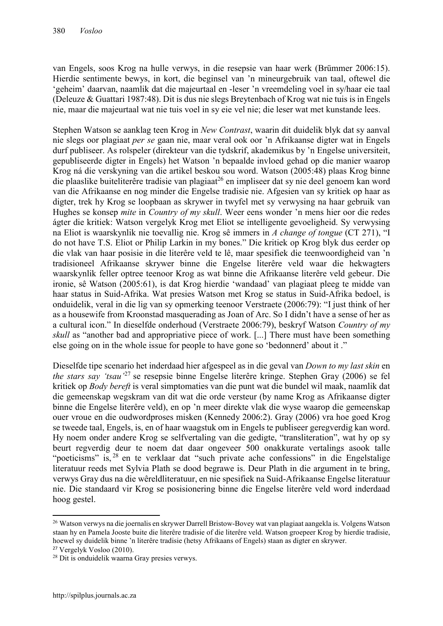van Engels, soos Krog na hulle verwys, in die resepsie van haar werk (Brümmer 2006:15). Hierdie sentimente bewys, in kort, die beginsel van 'n mineurgebruik van taal, oftewel die 'geheim' daarvan, naamlik dat die majeurtaal en -leser 'n vreemdeling voel in sy/haar eie taal (Deleuze & Guattari 1987:48). Dit is dus nie slegs Breytenbach of Krog wat nie tuis is in Engels nie, maar die majeurtaal wat nie tuis voel in sy eie vel nie; die leser wat met kunstande lees.

Stephen Watson se aanklag teen Krog in *New Contrast*, waarin dit duidelik blyk dat sy aanval nie slegs oor plagiaat *per se* gaan nie, maar veral ook oor 'n Afrikaanse digter wat in Engels durf publiseer. As rolspeler (direkteur van die tydskrif, akademikus by 'n Engelse universiteit, gepubliseerde digter in Engels) het Watson 'n bepaalde invloed gehad op die manier waarop Krog ná die verskyning van die artikel beskou sou word. Watson (2005:48) plaas Krog binne die plaaslike buiteliterêre tradisie van plagiaat<sup>26</sup> en impliseer dat sy nie deel genoem kan word van die Afrikaanse en nog minder die Engelse tradisie nie. Afgesien van sy kritiek op haar as digter, trek hy Krog se loopbaan as skrywer in twyfel met sy verwysing na haar gebruik van Hughes se konsep *mite* in *Country of my skull*. Weer eens wonder 'n mens hier oor die redes ágter die kritiek: Watson vergelyk Krog met Eliot se intelligente gevoeligheid. Sy verwysing na Eliot is waarskynlik nie toevallig nie. Krog sê immers in *A change of tongue* (CT 271), "I do not have T.S. Eliot or Philip Larkin in my bones." Die kritiek op Krog blyk dus eerder op die vlak van haar posisie in die literêre veld te lê, maar spesifiek die teenwoordigheid van 'n tradisioneel Afrikaanse skrywer binne die Engelse literêre veld waar die hekwagters waarskynlik feller optree teenoor Krog as wat binne die Afrikaanse literêre veld gebeur. Die ironie, sê Watson (2005:61), is dat Krog hierdie 'wandaad' van plagiaat pleeg te midde van haar status in Suid-Afrika. Wat presies Watson met Krog se status in Suid-Afrika bedoel, is onduidelik, veral in die lig van sy opmerking teenoor Verstraete (2006:79): "I just think of her as a housewife from Kroonstad masquerading as Joan of Arc. So I didn't have a sense of her as a cultural icon." In dieselfde onderhoud (Verstraete 2006:79), beskryf Watson *Country of my skull* as "another bad and appropriative piece of work. [...] There must have been something else going on in the whole issue for people to have gone so 'bedonnerd' about it ."

Dieselfde tipe scenario het inderdaad hier afgespeel as in die geval van *Down to my last skin* en *the stars say 'tsau'*<sup>27</sup> se resepsie binne Engelse literêre kringe. Stephen Gray (2006) se fel kritiek op *Body bereft* is veral simptomaties van die punt wat die bundel wil maak, naamlik dat die gemeenskap wegskram van dit wat die orde versteur (by name Krog as Afrikaanse digter binne die Engelse literêre veld), en op 'n meer direkte vlak die wyse waarop die gemeenskap ouer vroue en die oudwordproses misken (Kennedy 2006:2). Gray (2006) vra hoe goed Krog se tweede taal, Engels, is, en of haar waagstuk om in Engels te publiseer geregverdig kan word. Hy noem onder andere Krog se selfvertaling van die gedigte, "transliteration", wat hy op sy beurt regverdig deur te noem dat daar ongeveer 500 onakkurate vertalings asook talle "poeticisms" is, <sup>28</sup> en te verklaar dat "such private ache confessions" in die Engelstalige literatuur reeds met Sylvia Plath se dood begrawe is. Deur Plath in die argument in te bring, verwys Gray dus na die wêreldliteratuur, en nie spesifiek na Suid-Afrikaanse Engelse literatuur nie. Die standaard vir Krog se posisionering binne die Engelse literêre veld word inderdaad hoog gestel.

<sup>26</sup> Watson verwys na die joernalis en skrywer Darrell Bristow-Bovey wat van plagiaat aangekla is. Volgens Watson staan hy en Pamela Jooste buite die literêre tradisie of die literêre veld. Watson groepeer Krog by hierdie tradisie, hoewel sy duidelik binne 'n literêre tradisie (hetsy Afrikaans of Engels) staan as digter en skrywer.

<sup>27</sup> Vergelyk Vosloo (2010).

<sup>28</sup> Dit is onduidelik waarna Gray presies verwys.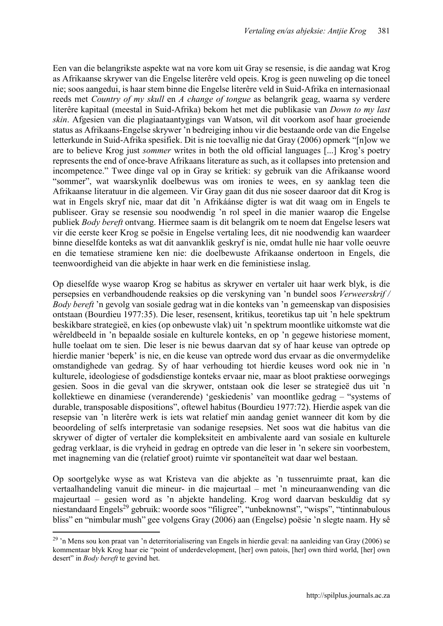Een van die belangrikste aspekte wat na vore kom uit Gray se resensie, is die aandag wat Krog as Afrikaanse skrywer van die Engelse literêre veld opeis. Krog is geen nuweling op die toneel nie; soos aangedui, is haar stem binne die Engelse literêre veld in Suid-Afrika en internasionaal reeds met *Country of my skull* en *A change of tongue* as belangrik geag, waarna sy verdere literêre kapitaal (meestal in Suid-Afrika) bekom het met die publikasie van *Down to my last skin*. Afgesien van die plagiaataantygings van Watson, wil dit voorkom asof haar groeiende status as Afrikaans-Engelse skrywer 'n bedreiging inhou vir die bestaande orde van die Engelse letterkunde in Suid-Afrika spesifiek. Dit is nie toevallig nie dat Gray (2006) opmerk "[n]ow we are to believe Krog just *sommer* writes in both the old official languages [...] Krog's poetry represents the end of once-brave Afrikaans literature as such, as it collapses into pretension and incompetence." Twee dinge val op in Gray se kritiek: sy gebruik van die Afrikaanse woord "sommer", wat waarskynlik doelbewus was om ironies te wees, en sy aanklag teen die Afrikaanse literatuur in die algemeen. Vir Gray gaan dit dus nie soseer daaroor dat dit Krog is wat in Engels skryf nie, maar dat dit 'n Afrikáánse digter is wat dit waag om in Engels te publiseer. Gray se resensie sou noodwendig 'n rol speel in die manier waarop die Engelse publiek *Body bereft* ontvang. Hiermee saam is dit belangrik om te noem dat Engelse lesers wat vir die eerste keer Krog se poësie in Engelse vertaling lees, dit nie noodwendig kan waardeer binne dieselfde konteks as wat dit aanvanklik geskryf is nie, omdat hulle nie haar volle oeuvre en die tematiese stramiene ken nie: die doelbewuste Afrikaanse ondertoon in Engels, die teenwoordigheid van die abjekte in haar werk en die feministiese inslag.

Op dieselfde wyse waarop Krog se habitus as skrywer en vertaler uit haar werk blyk, is die persepsies en verbandhoudende reaksies op die verskyning van 'n bundel soos *Verweerskrif / Body bereft* 'n gevolg van sosiale gedrag wat in die konteks van 'n gemeenskap van disposisies ontstaan (Bourdieu 1977:35). Die leser, resensent, kritikus, teoretikus tap uit 'n hele spektrum beskikbare strategieë, en kies (op onbewuste vlak) uit 'n spektrum moontlike uitkomste wat die wêreldbeeld in 'n bepaalde sosiale en kulturele konteks, en op 'n gegewe historiese moment, hulle toelaat om te sien. Die leser is nie bewus daarvan dat sy of haar keuse van optrede op hierdie manier 'beperk' is nie, en die keuse van optrede word dus ervaar as die onvermydelike omstandighede van gedrag. Sy of haar verhouding tot hierdie keuses word ook nie in 'n kulturele, ideologiese of godsdienstige konteks ervaar nie, maar as bloot praktiese oorwegings gesien. Soos in die geval van die skrywer, ontstaan ook die leser se strategieë dus uit 'n kollektiewe en dinamiese (veranderende) 'geskiedenis' van moontlike gedrag – "systems of durable, transposable dispositions", oftewel habitus (Bourdieu 1977:72). Hierdie aspek van die resepsie van 'n literêre werk is iets wat relatief min aandag geniet wanneer dit kom by die beoordeling of selfs interpretasie van sodanige resepsies. Net soos wat die habitus van die skrywer of digter of vertaler die kompleksiteit en ambivalente aard van sosiale en kulturele gedrag verklaar, is die vryheid in gedrag en optrede van die leser in 'n sekere sin voorbestem, met inagneming van die (relatief groot) ruimte vir spontaneïteit wat daar wel bestaan.

Op soortgelyke wyse as wat Kristeva van die abjekte as 'n tussenruimte praat, kan die vertaalhandeling vanuit die mineur- in die majeurtaal – met 'n mineuraanwending van die majeurtaal – gesien word as 'n abjekte handeling. Krog word daarvan beskuldig dat sy niestandaard Engels<sup>29</sup> gebruik: woorde soos "filigree", "unbeknownst", "wisps", "tintinnabulous bliss" en "nimbular mush" gee volgens Gray (2006) aan (Engelse) poësie 'n slegte naam. Hy sê

1

<sup>&</sup>lt;sup>29</sup> 'n Mens sou kon praat van 'n deterritorialisering van Engels in hierdie geval: na aanleiding van Gray (2006) se kommentaar blyk Krog haar eie "point of underdevelopment, [her] own patois, [her] own third world, [her] own desert" in *Body bereft* te gevind het.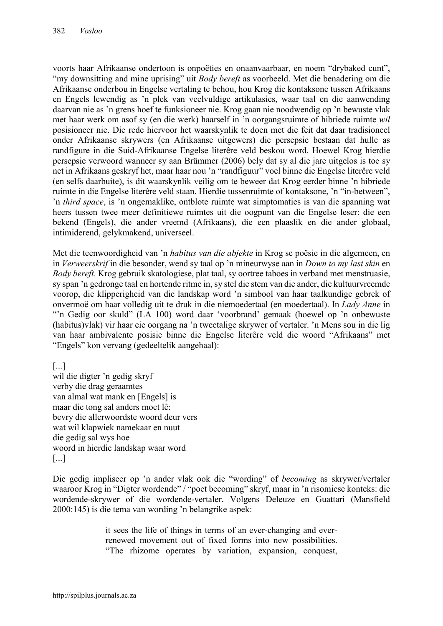voorts haar Afrikaanse ondertoon is onpoëties en onaanvaarbaar, en noem "drybaked cunt", "my downsitting and mine uprising" uit *Body bereft* as voorbeeld. Met die benadering om die Afrikaanse onderbou in Engelse vertaling te behou, hou Krog die kontaksone tussen Afrikaans en Engels lewendig as 'n plek van veelvuldige artikulasies, waar taal en die aanwending daarvan nie as 'n grens hoef te funksioneer nie. Krog gaan nie noodwendig op 'n bewuste vlak met haar werk om asof sy (en die werk) haarself in 'n oorgangsruimte of hibriede ruimte *wil*  posisioneer nie. Die rede hiervoor het waarskynlik te doen met die feit dat daar tradisioneel onder Afrikaanse skrywers (en Afrikaanse uitgewers) die persepsie bestaan dat hulle as randfigure in die Suid-Afrikaanse Engelse literêre veld beskou word. Hoewel Krog hierdie persepsie verwoord wanneer sy aan Brümmer (2006) bely dat sy al die jare uitgelos is toe sy net in Afrikaans geskryf het, maar haar nou 'n "randfiguur" voel binne die Engelse literêre veld (en selfs daarbuite), is dit waarskynlik veilig om te beweer dat Krog eerder binne 'n hibriede ruimte in die Engelse literêre veld staan. Hierdie tussenruimte of kontaksone, 'n "in-between", 'n *third space*, is 'n ongemaklike, ontblote ruimte wat simptomaties is van die spanning wat heers tussen twee meer definitiewe ruimtes uit die oogpunt van die Engelse leser: die een bekend (Engels), die ander vreemd (Afrikaans), die een plaaslik en die ander globaal, intimiderend, gelykmakend, universeel.

Met die teenwoordigheid van 'n *habitus van die abjekte* in Krog se poësie in die algemeen, en in *Verweerskrif* in die besonder, wend sy taal op 'n mineurwyse aan in *Down to my last skin* en *Body bereft*. Krog gebruik skatologiese, plat taal, sy oortree taboes in verband met menstruasie, sy span 'n gedronge taal en hortende ritme in, sy stel die stem van die ander, die kultuurvreemde voorop, die klipperigheid van die landskap word 'n simbool van haar taalkundige gebrek of onvermoë om haar volledig uit te druk in die niemoedertaal (en moedertaal). In *Lady Anne* in "'n Gedig oor skuld" (LA 100) word daar 'voorbrand' gemaak (hoewel op 'n onbewuste (habitus)vlak) vir haar eie oorgang na 'n tweetalige skrywer of vertaler. 'n Mens sou in die lig van haar ambivalente posisie binne die Engelse literêre veld die woord "Afrikaans" met "Engels" kon vervang (gedeeltelik aangehaal):

[...] wil die digter 'n gedig skryf verby die drag geraamtes van almal wat mank en [Engels] is maar die tong sal anders moet lê: bevry die allerwoordste woord deur vers wat wil klapwiek namekaar en nuut die gedig sal wys hoe woord in hierdie landskap waar word [...]

Die gedig impliseer op 'n ander vlak ook die "wording" of *becoming* as skrywer/vertaler waaroor Krog in "Digter wordende" / "poet becoming" skryf, maar in 'n risomiese konteks: die wordende-skrywer of die wordende-vertaler. Volgens Deleuze en Guattari (Mansfield 2000:145) is die tema van wording 'n belangrike aspek:

> it sees the life of things in terms of an ever-changing and everrenewed movement out of fixed forms into new possibilities. "The rhizome operates by variation, expansion, conquest,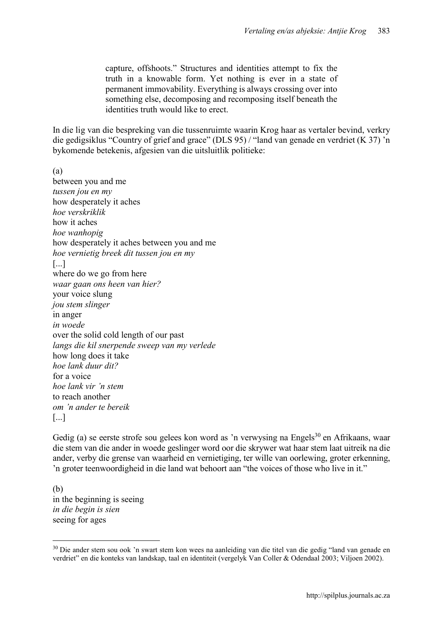capture, offshoots." Structures and identities attempt to fix the truth in a knowable form. Yet nothing is ever in a state of permanent immovability. Everything is always crossing over into something else, decomposing and recomposing itself beneath the identities truth would like to erect.

In die lig van die bespreking van die tussenruimte waarin Krog haar as vertaler bevind, verkry die gedigsiklus "Country of grief and grace" (DLS 95) / "land van genade en verdriet (K 37) 'n bykomende betekenis, afgesien van die uitsluitlik politieke:

(a) between you and me *tussen jou en my* how desperately it aches *hoe verskriklik* how it aches *hoe wanhopig* how desperately it aches between you and me *hoe vernietig breek dit tussen jou en my* [...] where do we go from here *waar gaan ons heen van hier?* your voice slung *jou stem slinger* in anger *in woede* over the solid cold length of our past *langs die kil snerpende sweep van my verlede* how long does it take *hoe lank duur dit?* for a voice *hoe lank vir 'n stem* to reach another *om 'n ander te bereik* [...]

Gedig (a) se eerste strofe sou gelees kon word as 'n verwysing na Engels<sup>30</sup> en Afrikaans, waar die stem van die ander in woede geslinger word oor die skrywer wat haar stem laat uitreik na die ander, verby die grense van waarheid en vernietiging, ter wille van oorlewing, groter erkenning, 'n groter teenwoordigheid in die land wat behoort aan "the voices of those who live in it."

(b) in the beginning is seeing *in die begin is sien* seeing for ages

<sup>&</sup>lt;sup>30</sup> Die ander stem sou ook 'n swart stem kon wees na aanleiding van die titel van die gedig "land van genade en verdriet" en die konteks van landskap, taal en identiteit (vergelyk Van Coller & Odendaal 2003; Viljoen 2002).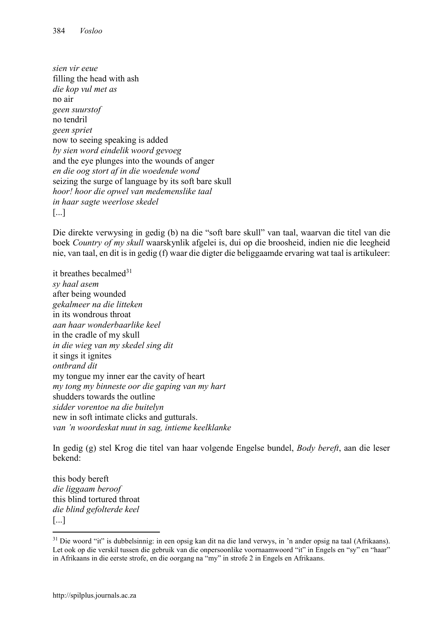*sien vir eeue* filling the head with ash *die kop vul met as* no air *geen suurstof* no tendril *geen spriet* now to seeing speaking is added *by sien word eindelik woord gevoeg* and the eye plunges into the wounds of anger *en die oog stort af in die woedende wond* seizing the surge of language by its soft bare skull *hoor! hoor die opwel van medemenslike taal in haar sagte weerlose skedel* [...]

Die direkte verwysing in gedig (b) na die "soft bare skull" van taal, waarvan die titel van die boek *Country of my skull* waarskynlik afgelei is, dui op die broosheid, indien nie die leegheid nie, van taal, en dit is in gedig (f) waar die digter die beliggaamde ervaring wat taal is artikuleer:

it breathes becalmed $31$ *sy haal asem* after being wounded *gekalmeer na die litteken* in its wondrous throat *aan haar wonderbaarlike keel* in the cradle of my skull *in die wieg van my skedel sing dit* it sings it ignites *ontbrand dit* my tongue my inner ear the cavity of heart *my tong my binneste oor die gaping van my hart* shudders towards the outline *sidder vorentoe na die buitelyn* new in soft intimate clicks and gutturals. *van 'n woordeskat nuut in sag, intieme keelklanke*

In gedig (g) stel Krog die titel van haar volgende Engelse bundel, *Body bereft*, aan die leser bekend:

this body bereft *die liggaam beroof* this blind tortured throat *die blind gefolterde keel* [...]

1

<sup>&</sup>lt;sup>31</sup> Die woord "it" is dubbelsinnig: in een opsig kan dit na die land verwys, in 'n ander opsig na taal (Afrikaans). Let ook op die verskil tussen die gebruik van die onpersoonlike voornaamwoord "it" in Engels en "sy" en "haar" in Afrikaans in die eerste strofe, en die oorgang na "my" in strofe 2 in Engels en Afrikaans.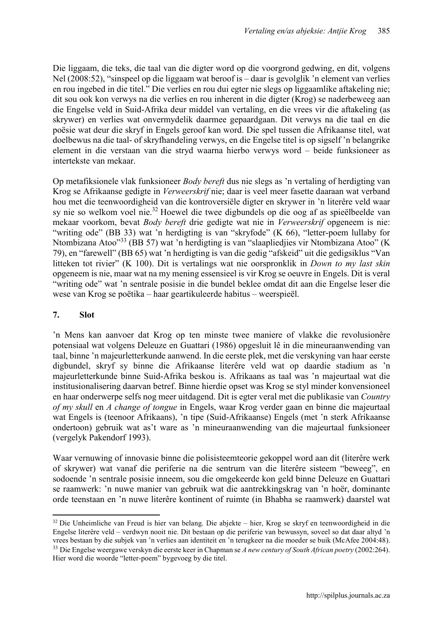Die liggaam, die teks, die taal van die digter word op die voorgrond gedwing, en dit, volgens Nel (2008:52), "sinspeel op die liggaam wat beroof is – daar is gevolglik 'n element van verlies en rou ingebed in die titel." Die verlies en rou dui egter nie slegs op liggaamlike aftakeling nie; dit sou ook kon verwys na die verlies en rou inherent in die digter (Krog) se naderbeweeg aan die Engelse veld in Suid-Afrika deur middel van vertaling, en die vrees vir die aftakeling (as skrywer) en verlies wat onvermydelik daarmee gepaardgaan. Dit verwys na die taal en die poësie wat deur die skryf in Engels geroof kan word. Die spel tussen die Afrikaanse titel, wat doelbewus na die taal- of skryfhandeling verwys, en die Engelse titel is op sigself 'n belangrike element in die verstaan van die stryd waarna hierbo verwys word – beide funksioneer as intertekste van mekaar.

Op metafiksionele vlak funksioneer *Body bereft* dus nie slegs as 'n vertaling of herdigting van Krog se Afrikaanse gedigte in *Verweerskrif* nie; daar is veel meer fasette daaraan wat verband hou met die teenwoordigheid van die kontroversiële digter en skrywer in 'n literêre veld waar sy nie so welkom voel nie. <sup>32</sup> Hoewel die twee digbundels op die oog af as spieëlbeelde van mekaar voorkom, bevat *Body bereft* drie gedigte wat nie in *Verweerskrif* opgeneem is nie: "writing ode" (BB 33) wat 'n herdigting is van "skryfode" (K 66), "letter-poem lullaby for Ntombizana Atoo"<sup>33</sup> (BB 57) wat 'n herdigting is van "slaapliedjies vir Ntombizana Atoo" (K 79), en "farewell" (BB 65) wat 'n herdigting is van die gedig "afskeid" uit die gedigsiklus "Van litteken tot rivier" (K 100). Dit is vertalings wat nie oorspronklik in *Down to my last skin*  opgeneem is nie, maar wat na my mening essensieel is vir Krog se oeuvre in Engels. Dit is veral "writing ode" wat 'n sentrale posisie in die bundel beklee omdat dit aan die Engelse leser die wese van Krog se poëtika – haar geartikuleerde habitus – weerspieël.

## 7. Slot

'n Mens kan aanvoer dat Krog op ten minste twee maniere of vlakke die revolusionêre potensiaal wat volgens Deleuze en Guattari (1986) opgesluit lê in die mineuraanwending van taal, binne 'n majeurletterkunde aanwend. In die eerste plek, met die verskyning van haar eerste digbundel, skryf sy binne die Afrikaanse literêre veld wat op daardie stadium as 'n majeurletterkunde binne Suid-Afrika beskou is. Afrikaans as taal was 'n majeurtaal wat die institusionalisering daarvan betref. Binne hierdie opset was Krog se styl minder konvensioneel en haar onderwerpe selfs nog meer uitdagend. Dit is egter veral met die publikasie van *Country of my skull* en *A change of tongue* in Engels, waar Krog verder gaan en binne die majeurtaal wat Engels is (teenoor Afrikaans), 'n tipe (Suid-Afrikaanse) Engels (met 'n sterk Afrikaanse ondertoon) gebruik wat as't ware as 'n mineuraanwending van die majeurtaal funksioneer (vergelyk Pakendorf 1993).

Waar vernuwing of innovasie binne die polisisteemteorie gekoppel word aan dit (literêre werk of skrywer) wat vanaf die periferie na die sentrum van die literêre sisteem "beweeg", en sodoende 'n sentrale posisie inneem, sou die omgekeerde kon geld binne Deleuze en Guattari se raamwerk: 'n nuwe manier van gebruik wat die aantrekkingskrag van 'n hoër, dominante orde teenstaan en 'n nuwe literêre kontinent of ruimte (in Bhabha se raamwerk) daarstel wat

**<sup>.</sup>**  $32$  Die Unheimliche van Freud is hier van belang. Die abjekte – hier, Krog se skryf en teenwoordigheid in die Engelse literêre veld – verdwyn nooit nie. Dit bestaan op die periferie van bewussyn, soveel so dat daar altyd 'n vrees bestaan by die subjek van 'n verlies aan identiteit en 'n terugkeer na die moeder se buik (McAfee 2004:48). <sup>33</sup> Die Engelse weergawe verskyn die eerste keer in Chapman se *A new century of South African poetry* (2002:264). Hier word die woorde "letter-poem" bygevoeg by die titel.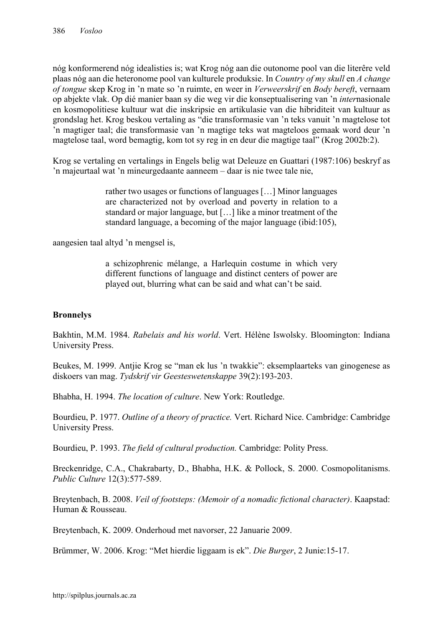nóg konformerend nóg idealisties is; wat Krog nóg aan die outonome pool van die literêre veld plaas nóg aan die heteronome pool van kulturele produksie. In *Country of my skull* en *A change of tongue* skep Krog in 'n mate so 'n ruimte, en weer in *Verweerskrif* en *Body bereft*, vernaam op abjekte vlak. Op dié manier baan sy die weg vir die konseptualisering van 'n *inter*nasionale en kosmopolitiese kultuur wat die inskripsie en artikulasie van die hibriditeit van kultuur as grondslag het. Krog beskou vertaling as "die transformasie van 'n teks vanuit 'n magtelose tot 'n magtiger taal; die transformasie van 'n magtige teks wat magteloos gemaak word deur 'n magtelose taal, word bemagtig, kom tot sy reg in en deur die magtige taal" (Krog 2002b:2).

Krog se vertaling en vertalings in Engels belig wat Deleuze en Guattari (1987:106) beskryf as 'n majeurtaal wat 'n mineurgedaante aanneem – daar is nie twee tale nie,

> rather two usages or functions of languages […] Minor languages are characterized not by overload and poverty in relation to a standard or major language, but […] like a minor treatment of the standard language, a becoming of the major language (ibid:105),

aangesien taal altyd 'n mengsel is,

a schizophrenic mélange, a Harlequin costume in which very different functions of language and distinct centers of power are played out, blurring what can be said and what can't be said.

## **Bronnelys**

Bakhtin, M.M. 1984. *Rabelais and his world*. Vert. Hélène Iswolsky. Bloomington: Indiana University Press.

Beukes, M. 1999. Antjie Krog se "man ek lus 'n twakkie": eksemplaarteks van ginogenese as diskoers van mag. *Tydskrif vir Geesteswetenskappe* 39(2):193-203.

Bhabha, H. 1994. *The location of culture*. New York: Routledge.

Bourdieu, P. 1977. *Outline of a theory of practice.* Vert. Richard Nice. Cambridge: Cambridge University Press.

Bourdieu, P. 1993. *The field of cultural production.* Cambridge: Polity Press.

Breckenridge, C.A., Chakrabarty, D., Bhabha, H.K. & Pollock, S. 2000. Cosmopolitanisms. *Public Culture* 12(3):577-589.

Breytenbach, B. 2008. *Veil of footsteps: (Memoir of a nomadic fictional character)*. Kaapstad: Human & Rousseau.

Breytenbach, K. 2009. Onderhoud met navorser, 22 Januarie 2009.

Brümmer, W. 2006. Krog: "Met hierdie liggaam is ek". *Die Burger*, 2 Junie:15-17.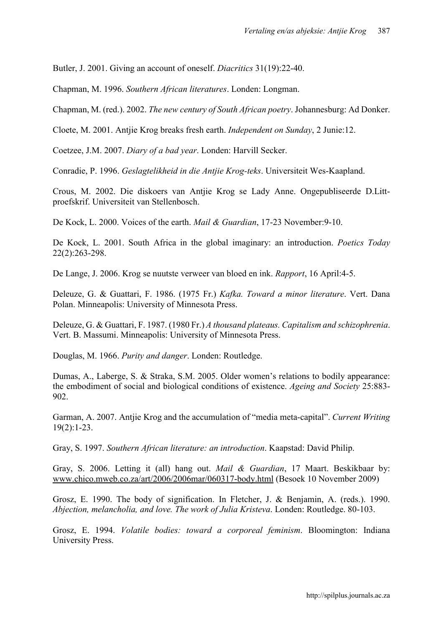Butler, J. 2001. Giving an account of oneself. *Diacritics* 31(19):22-40.

Chapman, M. 1996. *Southern African literatures*. Londen: Longman.

Chapman, M. (red.). 2002. *The new century of South African poetry*. Johannesburg: Ad Donker.

Cloete, M. 2001. Antjie Krog breaks fresh earth. *Independent on Sunday*, 2 Junie:12.

Coetzee, J.M. 2007. *Diary of a bad year*. Londen: Harvill Secker.

Conradie, P. 1996. *Geslagtelikheid in die Antjie Krog-teks*. Universiteit Wes-Kaapland.

Crous, M. 2002. Die diskoers van Antjie Krog se Lady Anne. Ongepubliseerde D.Littproefskrif. Universiteit van Stellenbosch.

De Kock, L. 2000. Voices of the earth. *Mail & Guardian*, 17-23 November:9-10.

De Kock, L. 2001. South Africa in the global imaginary: an introduction. *Poetics Today*  22(2):263-298.

De Lange, J. 2006. Krog se nuutste verweer van bloed en ink. *Rapport*, 16 April:4-5.

Deleuze, G. & Guattari, F. 1986. (1975 Fr.) *Kafka. Toward a minor literature*. Vert. Dana Polan. Minneapolis: University of Minnesota Press.

Deleuze, G. & Guattari, F. 1987. (1980 Fr.) *A thousand plateaus. Capitalism and schizophrenia*. Vert. B. Massumi. Minneapolis: University of Minnesota Press.

Douglas, M. 1966. *Purity and danger*. Londen: Routledge.

Dumas, A., Laberge, S. & Straka, S.M. 2005. Older women's relations to bodily appearance: the embodiment of social and biological conditions of existence. *Ageing and Society* 25:883- 902.

Garman, A. 2007. Antjie Krog and the accumulation of "media meta-capital". *Current Writing*  19(2):1-23.

Gray, S. 1997. *Southern African literature: an introduction*. Kaapstad: David Philip.

Gray, S. 2006. Letting it (all) hang out. *Mail & Guardian*, 17 Maart. Beskikbaar by: [www.chico.mweb.co.za/art/2006/2006mar/060317-body.html](http://www.chico.mweb.co.za/art/2006/2006mar/060317-body.html) (Besoek 10 November 2009)

Grosz, E. 1990. The body of signification. In Fletcher, J. & Benjamin, A. (reds.). 1990. *Abjection, melancholia, and love. The work of Julia Kristeva*. Londen: Routledge. 80-103.

Grosz, E. 1994. *Volatile bodies: toward a corporeal feminism*. Bloomington: Indiana University Press.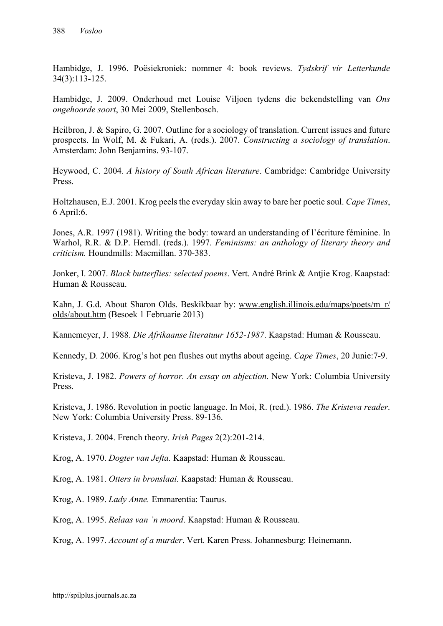Hambidge, J. 1996. Poësiekroniek: nommer 4: book reviews. *Tydskrif vir Letterkunde*  34(3):113-125.

Hambidge, J. 2009. Onderhoud met Louise Viljoen tydens die bekendstelling van *Ons ongehoorde soort*, 30 Mei 2009, Stellenbosch.

Heilbron, J. & Sapiro, G. 2007. Outline for a sociology of translation. Current issues and future prospects. In Wolf, M. & Fukari, A. (reds.). 2007. *Constructing a sociology of translation*. Amsterdam: John Benjamins. 93-107.

Heywood, C. 2004. *A history of South African literature*. Cambridge: Cambridge University Press.

Holtzhausen, E.J. 2001. Krog peels the everyday skin away to bare her poetic soul. *Cape Times*, 6 April:6.

Jones, A.R. 1997 (1981). Writing the body: toward an understanding of l'écriture féminine. In Warhol, R.R. & D.P. Herndl. (reds.). 1997. *Feminisms: an anthology of literary theory and criticism.* Houndmills: Macmillan. 370-383.

Jonker, I. 2007. *Black butterflies: selected poems*. Vert. André Brink & Antjie Krog. Kaapstad: Human & Rousseau.

Kahn, J. G.d. About Sharon Olds. Beskikbaar by: [www.english.illinois.edu/maps/poets/m\\_r/](http://www.english.illinois.edu/maps/poets/m_r/olds/)  [olds/](http://www.english.illinois.edu/maps/poets/m_r/olds/)about.htm (Besoek 1 Februarie 2013)

Kannemeyer, J. 1988. *Die Afrikaanse literatuur 1652-1987*. Kaapstad: Human & Rousseau.

Kennedy, D. 2006. Krog's hot pen flushes out myths about ageing. *Cape Times*, 20 Junie:7-9.

Kristeva, J. 1982. *Powers of horror. An essay on abjection*. New York: Columbia University Press.

Kristeva, J. 1986. Revolution in poetic language. In Moi, R. (red.). 1986. *The Kristeva reader*. New York: Columbia University Press. 89-136.

Kristeva, J. 2004. French theory. *Irish Pages* 2(2):201-214.

Krog, A. 1970. *Dogter van Jefta.* Kaapstad: Human & Rousseau.

Krog, A. 1981. *Otters in bronslaai.* Kaapstad: Human & Rousseau.

Krog, A. 1989. *Lady Anne.* Emmarentia: Taurus.

Krog, A. 1995. *Relaas van 'n moord*. Kaapstad: Human & Rousseau.

Krog, A. 1997. *Account of a murder*. Vert. Karen Press. Johannesburg: Heinemann.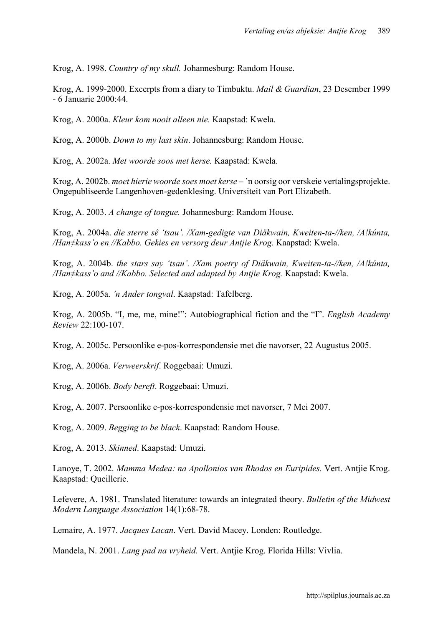Krog, A. 1998. *Country of my skull.* Johannesburg: Random House.

Krog, A. 1999-2000. Excerpts from a diary to Timbuktu. *Mail & Guardian*, 23 Desember 1999 - 6 Januarie 2000:44.

Krog, A. 2000a. *Kleur kom nooit alleen nie.* Kaapstad: Kwela.

Krog, A. 2000b. *Down to my last skin*. Johannesburg: Random House.

Krog, A. 2002a. *Met woorde soos met kerse.* Kaapstad: Kwela.

Krog, A. 2002b. *moet hierie woorde soes moet kerse –* 'n oorsig oor verskeie vertalingsprojekte. Ongepubliseerde Langenhoven-gedenklesing. Universiteit van Port Elizabeth.

Krog, A. 2003. *A change of tongue.* Johannesburg: Random House.

Krog, A. 2004a. *die sterre sê 'tsau'. /Xam-gedigte van Diäkwain, Kweiten-ta-//ken, /A!kúnta, /Han≠kass'o en //Kabbo. Gekies en versorg deur Antjie Krog.* Kaapstad: Kwela.

Krog, A. 2004b. *the stars say 'tsau'. /Xam poetry of Diäkwain, Kweiten-ta-//ken, /A!kúnta, /Han≠kass'o and //Kabbo. Selected and adapted by Antjie Krog.* Kaapstad: Kwela.

Krog, A. 2005a. *'n Ander tongval*. Kaapstad: Tafelberg.

Krog, A. 2005b. "I, me, me, mine!": Autobiographical fiction and the "I". *English Academy Review* 22:100-107.

Krog, A. 2005c. Persoonlike e-pos-korrespondensie met die navorser, 22 Augustus 2005.

Krog, A. 2006a. *Verweerskrif*. Roggebaai: Umuzi.

Krog, A. 2006b. *Body bereft*. Roggebaai: Umuzi.

Krog, A. 2007. Persoonlike e-pos-korrespondensie met navorser, 7 Mei 2007.

Krog, A. 2009. *Begging to be black*. Kaapstad: Random House.

Krog, A. 2013. *Skinned*. Kaapstad: Umuzi.

Lanoye, T. 2002. *Mamma Medea: na Apollonios van Rhodos en Euripides.* Vert. Antjie Krog. Kaapstad: Queillerie.

Lefevere, A. 1981. Translated literature: towards an integrated theory. *Bulletin of the Midwest Modern Language Association* 14(1):68-78.

Lemaire, A. 1977. *Jacques Lacan*. Vert. David Macey. Londen: Routledge.

Mandela, N. 2001. *Lang pad na vryheid.* Vert. Antjie Krog. Florida Hills: Vivlia.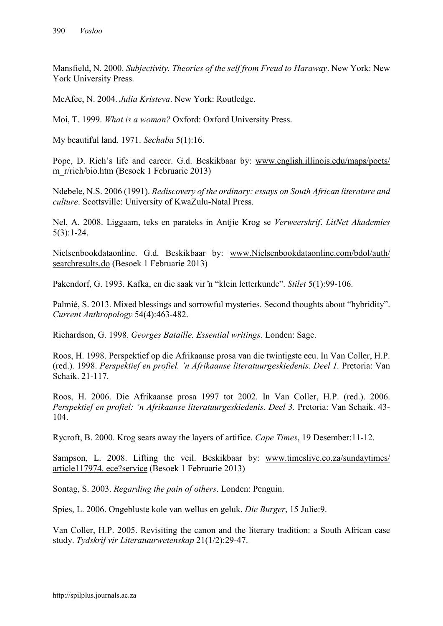Mansfield, N. 2000. *Subjectivity. Theories of the self from Freud to Haraway*. New York: New York University Press.

McAfee, N. 2004. *Julia Kristeva*. New York: Routledge.

Moi, T. 1999. *What is a woman?* Oxford: Oxford University Press.

My beautiful land. 1971. *Sechaba* 5(1):16.

Pope, D. Rich's life and career. G.d. Beskikbaar by: [www.english.illinois.edu/maps/poets/](http://www.english.illinois.edu/maps/poets/ m_r/rich/bio.htm)  [m\\_r/rich/bio.htm](http://www.english.illinois.edu/maps/poets/ m_r/rich/bio.htm) (Besoek 1 Februarie 2013)

Ndebele, N.S. 2006 (1991). *Rediscovery of the ordinary: essays on South African literature and culture*. Scottsville: University of KwaZulu-Natal Press.

Nel, A. 2008. Liggaam, teks en parateks in Antjie Krog se *Verweerskrif*. *LitNet Akademies*  5(3):1-24.

Nielsenbookdataonline. G.d. Beskikbaar by: [www.Nielsenbookdataonline.com/bdol/auth/](http://www.nielsenbookdataonline.com/bdol/auth/ searchresults.do (Besoek 1 Februarie 2013)  searchresults.do [\(Besoek 1 Februarie 2013\)](http://www.nielsenbookdataonline.com/bdol/auth/ searchresults.do (Besoek 1 Februarie 2013)

Pakendorf, G. 1993. Kafka, en die saak vir 'n "klein letterkunde". *Stilet* 5(1):99-106.

Palmié, S. 2013. Mixed blessings and sorrowful mysteries. Second thoughts about "hybridity". *Current Anthropology* 54(4):463-482.

Richardson, G. 1998. *Georges Bataille. Essential writings*. Londen: Sage.

Roos, H. 1998. Perspektief op die Afrikaanse prosa van die twintigste eeu. In Van Coller, H.P. (red.). 1998. *Perspektief en profiel. 'n Afrikaanse literatuurgeskiedenis. Deel 1.* Pretoria: Van Schaik. 21-117.

Roos, H. 2006. Die Afrikaanse prosa 1997 tot 2002. In Van Coller, H.P. (red.). 2006. *Perspektief en profiel: 'n Afrikaanse literatuurgeskiedenis. Deel 3.* Pretoria: Van Schaik. 43- 104.

Rycroft, B. 2000. Krog sears away the layers of artifice. *Cape Times*, 19 Desember:11-12.

Sampson, L. 2008. Lifting the veil. Beskikbaar by: [www.timeslive.co.za/sundaytimes/](http://www.timeslive.co.za/sundaytimes/article) [article1](http://www.timeslive.co.za/sundaytimes/article)17974. ece?service (Besoek 1 Februarie 2013)

Sontag, S. 2003. *Regarding the pain of others*. Londen: Penguin.

Spies, L. 2006. Ongebluste kole van wellus en geluk. *Die Burger*, 15 Julie:9.

Van Coller, H.P. 2005. Revisiting the canon and the literary tradition: a South African case study. *Tydskrif vir Literatuurwetenskap* 21(1/2):29-47.